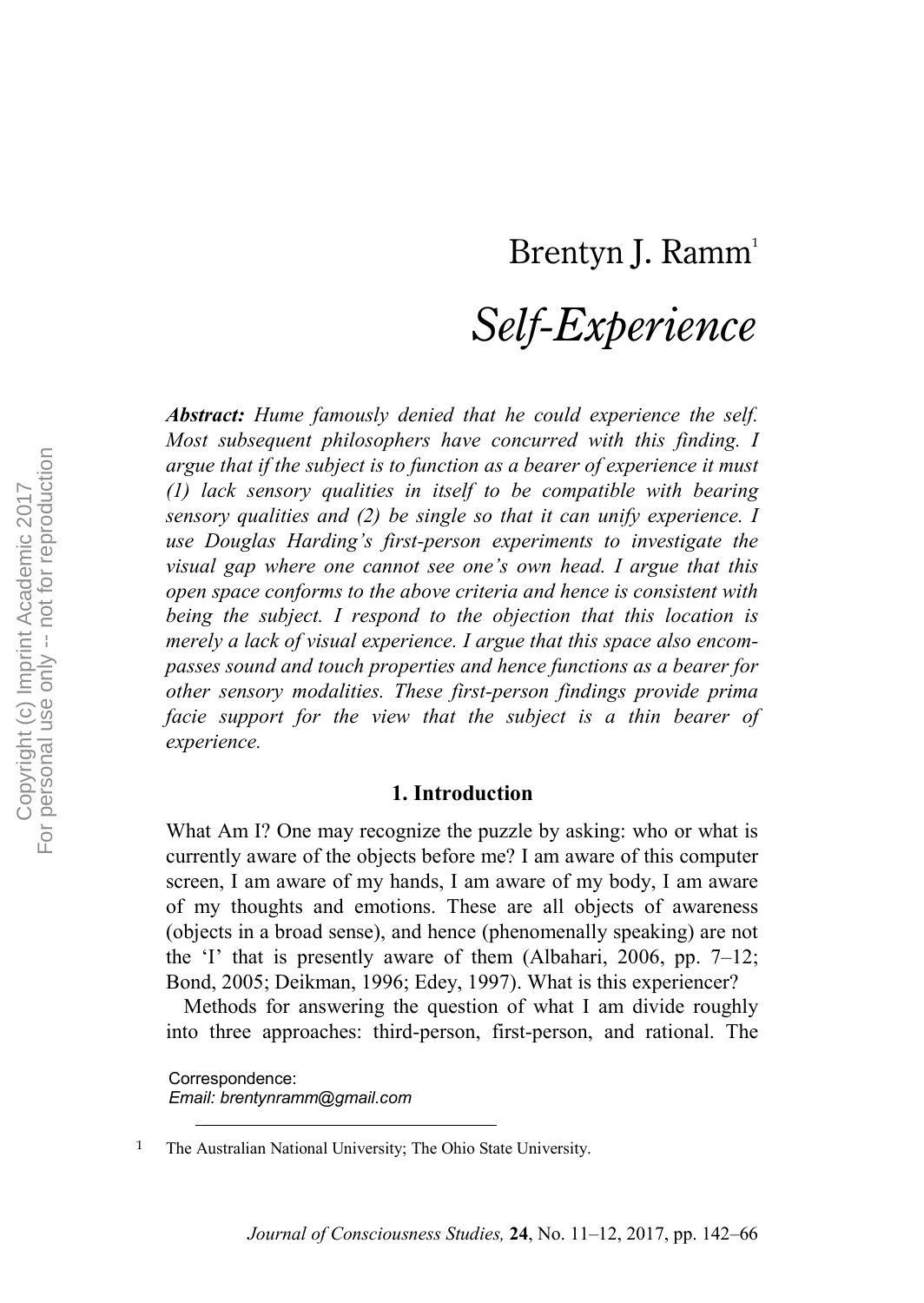# Brentyn J. Ramm<sup>1</sup>

# *Self-Experience*

*Abstract: Hume famously denied that he could experience the self. Most subsequent philosophers have concurred with this finding. I argue that if the subject is to function as a bearer of experience it must (1) lack sensory qualities in itself to be compatible with bearing sensory qualities and (2) be single so that it can unify experience. I use Douglas Harding's first-person experiments to investigate the visual gap where one cannot see one's own head. I argue that this open space conforms to the above criteria and hence is consistent with being the subject. I respond to the objection that this location is merely a lack of visual experience. I argue that this space also encompasses sound and touch properties and hence functions as a bearer for other sensory modalities. These first-person findings provide prima facie support for the view that the subject is a thin bearer of experience.*

## **1. Introduction**

What Am I? One may recognize the puzzle by asking: who or what is currently aware of the objects before me? I am aware of this computer screen, I am aware of my hands, I am aware of my body, I am aware of my thoughts and emotions. These are all objects of awareness (objects in a broad sense), and hence (phenomenally speaking) are not the 'I' that is presently aware of them (Albahari, 2006, pp. 7–12; Bond, 2005; Deikman, 1996; Edey, 1997). What is this experiencer?

Methods for answering the question of what I am divide roughly into three approaches: third-person, first-person, and rational. The

Correspondence: *Email: brentynramm@gmail.com*

<sup>&</sup>lt;sup>1</sup> The Australian National University; The Ohio State University.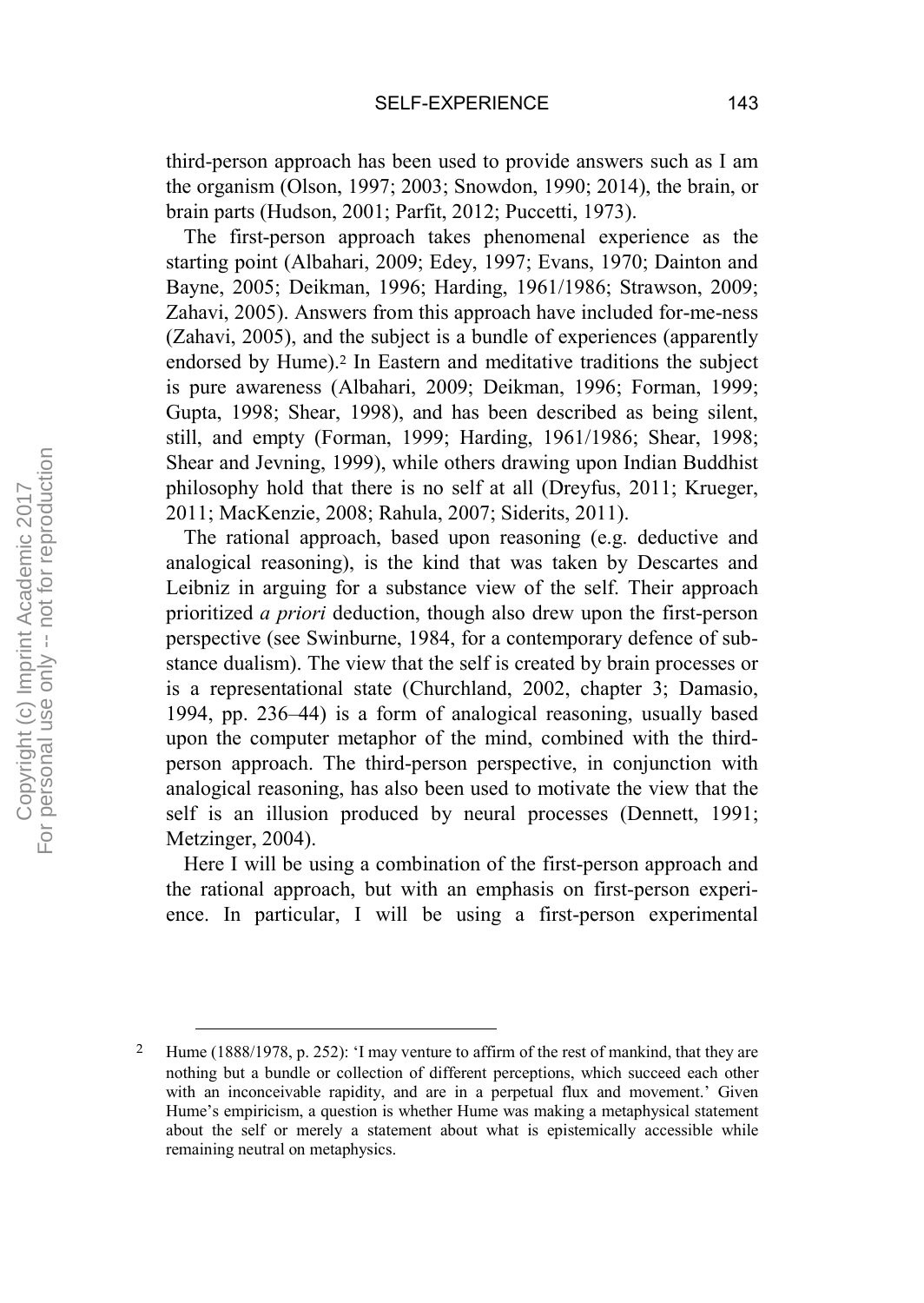third-person approach has been used to provide answers such as I am the organism (Olson, 1997; 2003; Snowdon, 1990; 2014), the brain, or brain parts (Hudson, 2001; Parfit, 2012; Puccetti, 1973).

The first-person approach takes phenomenal experience as the starting point (Albahari, 2009; Edey, 1997; Evans, 1970; Dainton and Bayne, 2005; Deikman, 1996; Harding, 1961/1986; Strawson, 2009; Zahavi, 2005). Answers from this approach have included for-me-ness (Zahavi, 2005), and the subject is a bundle of experiences (apparently endorsed by Hume).<sup>2</sup> In Eastern and meditative traditions the subject is pure awareness (Albahari, 2009; Deikman, 1996; Forman, 1999; Gupta, 1998; Shear, 1998), and has been described as being silent, still, and empty (Forman, 1999; Harding, 1961/1986; Shear, 1998; Shear and Jevning, 1999), while others drawing upon Indian Buddhist philosophy hold that there is no self at all (Dreyfus, 2011; Krueger, 2011; MacKenzie, 2008; Rahula, 2007; Siderits, 2011).

The rational approach, based upon reasoning (e.g. deductive and analogical reasoning), is the kind that was taken by Descartes and Leibniz in arguing for a substance view of the self. Their approach prioritized *a priori* deduction, though also drew upon the first-person perspective (see Swinburne, 1984, for a contemporary defence of substance dualism). The view that the self is created by brain processes or is a representational state (Churchland, 2002, chapter 3; Damasio, 1994, pp. 236–44) is a form of analogical reasoning, usually based upon the computer metaphor of the mind, combined with the thirdperson approach. The third-person perspective, in conjunction with analogical reasoning, has also been used to motivate the view that the self is an illusion produced by neural processes (Dennett, 1991; Metzinger, 2004).

Here I will be using a combination of the first-person approach and the rational approach, but with an emphasis on first-person experience. In particular, I will be using a first-person experimental

Hume (1888/1978, p. 252): 'I may venture to affirm of the rest of mankind, that they are nothing but a bundle or collection of different perceptions, which succeed each other with an inconceivable rapidity, and are in a perpetual flux and movement.' Given Hume's empiricism, a question is whether Hume was making a metaphysical statement about the self or merely a statement about what is epistemically accessible while remaining neutral on metaphysics.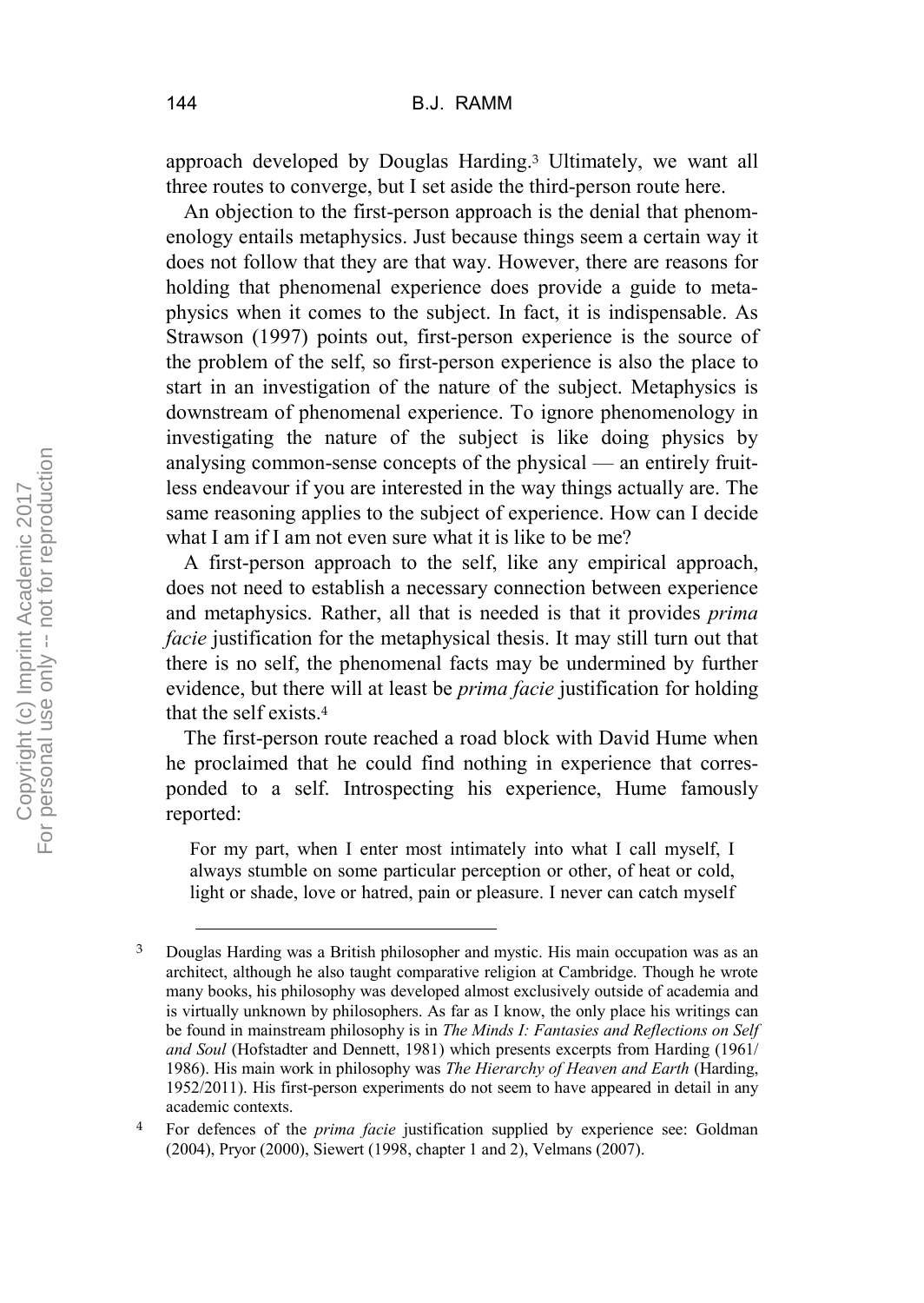approach developed by Douglas Harding.<sup>3</sup> Ultimately, we want all three routes to converge, but I set aside the third-person route here.

An objection to the first-person approach is the denial that phenomenology entails metaphysics. Just because things seem a certain way it does not follow that they are that way. However, there are reasons for holding that phenomenal experience does provide a guide to metaphysics when it comes to the subject. In fact, it is indispensable. As Strawson (1997) points out, first-person experience is the source of the problem of the self, so first-person experience is also the place to start in an investigation of the nature of the subject. Metaphysics is downstream of phenomenal experience. To ignore phenomenology in investigating the nature of the subject is like doing physics by analysing common-sense concepts of the physical — an entirely fruitless endeavour if you are interested in the way things actually are. The same reasoning applies to the subject of experience. How can I decide what I am if I am not even sure what it is like to be me?

A first-person approach to the self, like any empirical approach, does not need to establish a necessary connection between experience and metaphysics. Rather, all that is needed is that it provides *prima facie* justification for the metaphysical thesis. It may still turn out that there is no self, the phenomenal facts may be undermined by further evidence, but there will at least be *prima facie* justification for holding that the self exists.<sup>4</sup>

The first-person route reached a road block with David Hume when he proclaimed that he could find nothing in experience that corresponded to a self. Introspecting his experience, Hume famously reported:

For my part, when I enter most intimately into what I call myself, I always stumble on some particular perception or other, of heat or cold, light or shade, love or hatred, pain or pleasure. I never can catch myself

 <sup>3</sup> Douglas Harding was a British philosopher and mystic. His main occupation was as an architect, although he also taught comparative religion at Cambridge. Though he wrote many books, his philosophy was developed almost exclusively outside of academia and is virtually unknown by philosophers. As far as I know, the only place his writings can be found in mainstream philosophy is in *The Minds I: Fantasies and Reflections on Self and Soul* (Hofstadter and Dennett, 1981) which presents excerpts from Harding (1961/ 1986). His main work in philosophy was *The Hierarchy of Heaven and Earth* (Harding, 1952/2011). His first-person experiments do not seem to have appeared in detail in any academic contexts.

<sup>4</sup> For defences of the *prima facie* justification supplied by experience see: Goldman (2004), Pryor (2000), Siewert (1998, chapter 1 and 2), Velmans (2007).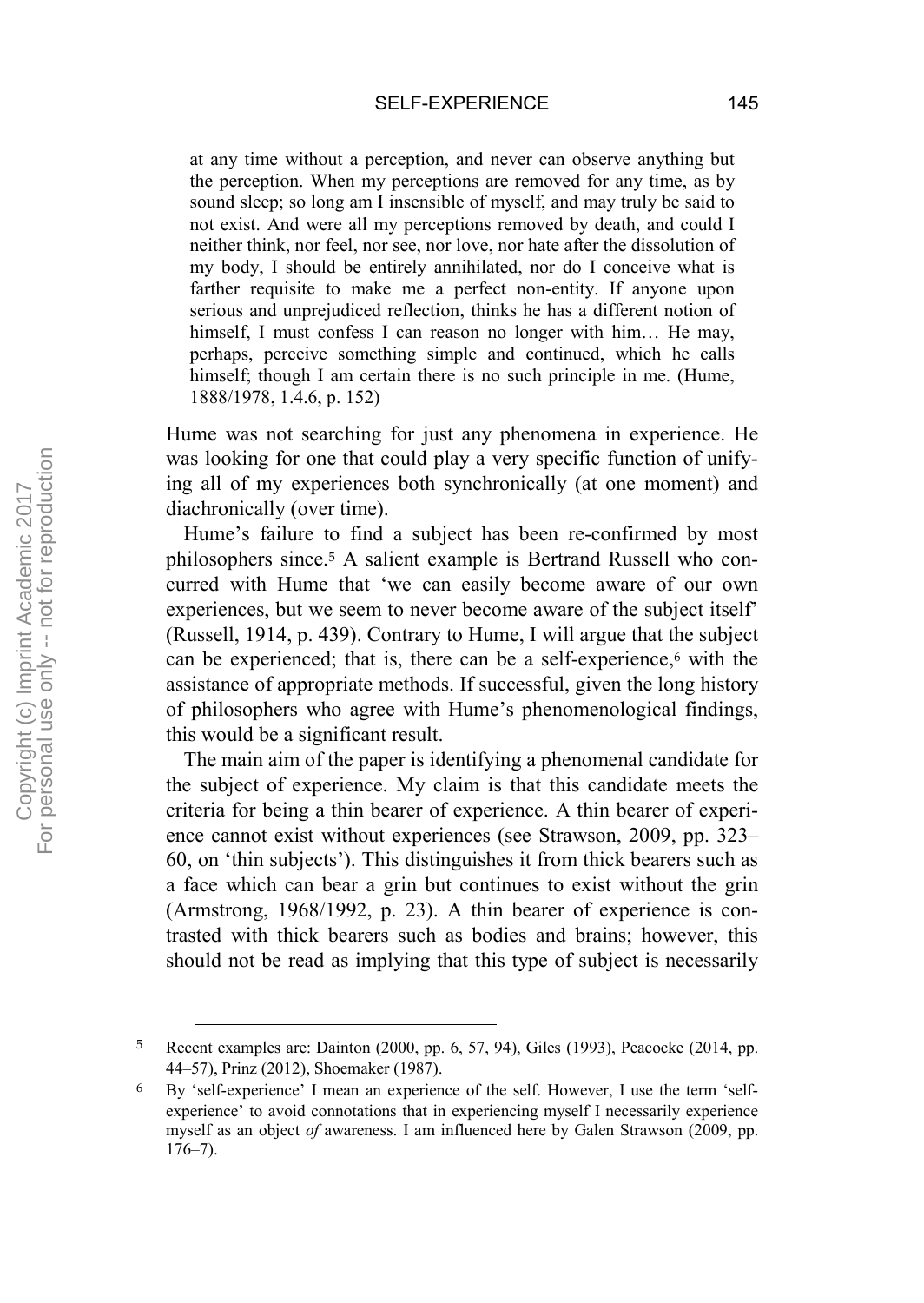at any time without a perception, and never can observe anything but the perception. When my perceptions are removed for any time, as by sound sleep; so long am I insensible of myself, and may truly be said to not exist. And were all my perceptions removed by death, and could I neither think, nor feel, nor see, nor love, nor hate after the dissolution of my body, I should be entirely annihilated, nor do I conceive what is farther requisite to make me a perfect non-entity. If anyone upon serious and unprejudiced reflection, thinks he has a different notion of himself, I must confess I can reason no longer with him... He may, perhaps, perceive something simple and continued, which he calls himself; though I am certain there is no such principle in me. (Hume, 1888/1978, 1.4.6, p. 152)

Hume was not searching for just any phenomena in experience. He was looking for one that could play a very specific function of unifying all of my experiences both synchronically (at one moment) and diachronically (over time).

Hume's failure to find a subject has been re-confirmed by most philosophers since.<sup>5</sup> A salient example is Bertrand Russell who concurred with Hume that 'we can easily become aware of our own experiences, but we seem to never become aware of the subject itself' (Russell, 1914, p. 439). Contrary to Hume, I will argue that the subject can be experienced; that is, there can be a self-experience,<sup>6</sup> with the assistance of appropriate methods. If successful, given the long history of philosophers who agree with Hume's phenomenological findings, this would be a significant result.

The main aim of the paper is identifying a phenomenal candidate for the subject of experience. My claim is that this candidate meets the criteria for being a thin bearer of experience. A thin bearer of experience cannot exist without experiences (see Strawson, 2009, pp. 323– 60, on 'thin subjects'). This distinguishes it from thick bearers such as a face which can bear a grin but continues to exist without the grin (Armstrong, 1968/1992, p. 23). A thin bearer of experience is contrasted with thick bearers such as bodies and brains; however, this should not be read as implying that this type of subject is necessarily

 <sup>5</sup> Recent examples are: Dainton (2000, pp. 6, 57, 94), Giles (1993), Peacocke (2014, pp. 44–57), Prinz (2012), Shoemaker (1987).

<sup>6</sup> By 'self-experience' I mean an experience of the self. However, I use the term 'selfexperience' to avoid connotations that in experiencing myself I necessarily experience myself as an object *of* awareness. I am influenced here by Galen Strawson (2009, pp. 176–7).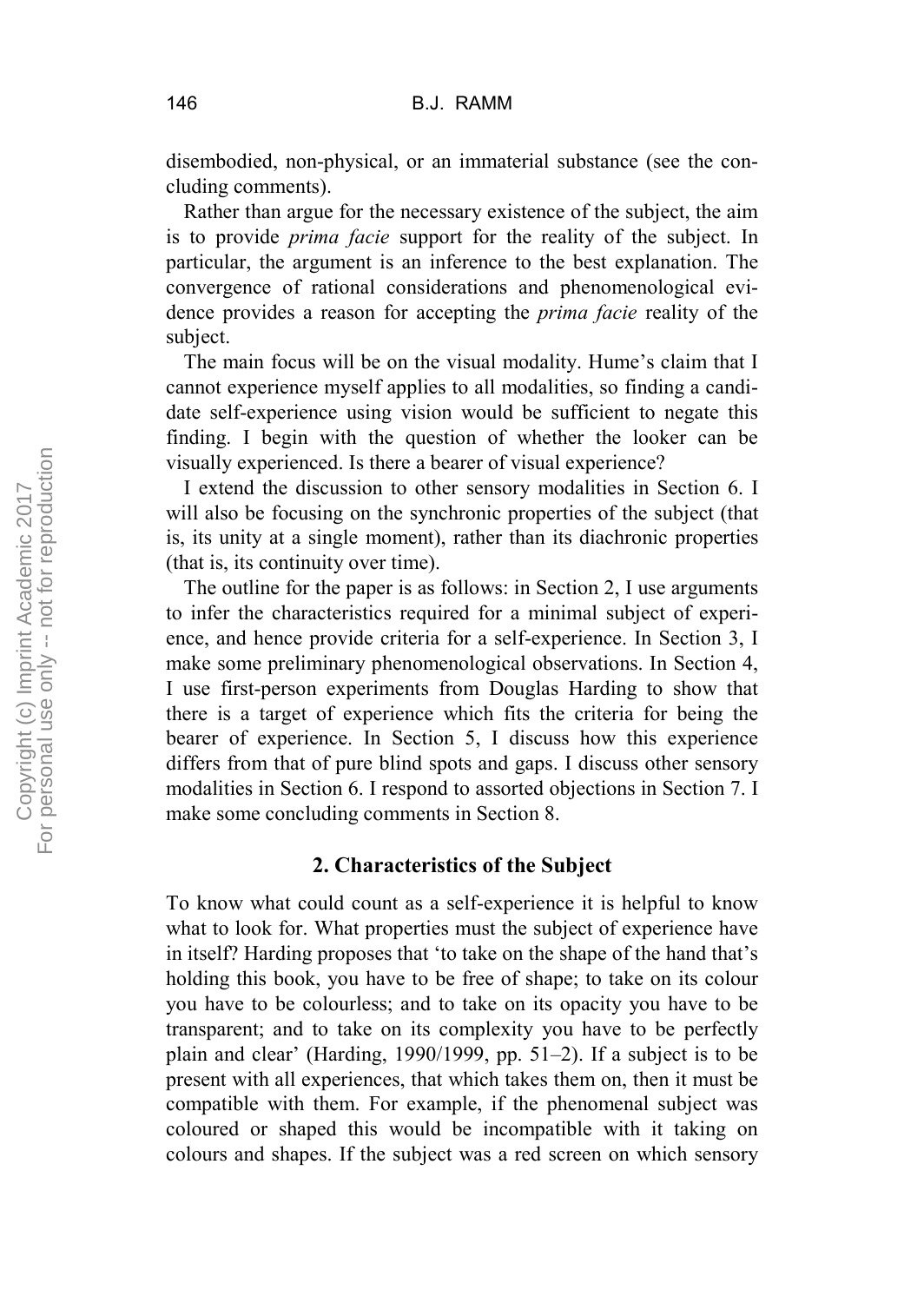disembodied, non-physical, or an immaterial substance (see the concluding comments).

Rather than argue for the necessary existence of the subject, the aim is to provide *prima facie* support for the reality of the subject. In particular, the argument is an inference to the best explanation. The convergence of rational considerations and phenomenological evidence provides a reason for accepting the *prima facie* reality of the subject.

The main focus will be on the visual modality. Hume's claim that I cannot experience myself applies to all modalities, so finding a candidate self-experience using vision would be sufficient to negate this finding. I begin with the question of whether the looker can be visually experienced. Is there a bearer of visual experience?

I extend the discussion to other sensory modalities in Section 6. I will also be focusing on the synchronic properties of the subject (that is, its unity at a single moment), rather than its diachronic properties (that is, its continuity over time).

The outline for the paper is as follows: in Section 2, I use arguments to infer the characteristics required for a minimal subject of experience, and hence provide criteria for a self-experience. In Section 3, I make some preliminary phenomenological observations. In Section 4, I use first-person experiments from Douglas Harding to show that there is a target of experience which fits the criteria for being the bearer of experience. In Section 5, I discuss how this experience differs from that of pure blind spots and gaps. I discuss other sensory modalities in Section 6. I respond to assorted objections in Section 7. I make some concluding comments in Section 8.

## **2. Characteristics of the Subject**

To know what could count as a self-experience it is helpful to know what to look for. What properties must the subject of experience have in itself? Harding proposes that 'to take on the shape of the hand that's holding this book, you have to be free of shape; to take on its colour you have to be colourless; and to take on its opacity you have to be transparent; and to take on its complexity you have to be perfectly plain and clear' (Harding, 1990/1999, pp. 51–2). If a subject is to be present with all experiences, that which takes them on, then it must be compatible with them. For example, if the phenomenal subject was coloured or shaped this would be incompatible with it taking on colours and shapes. If the subject was a red screen on which sensory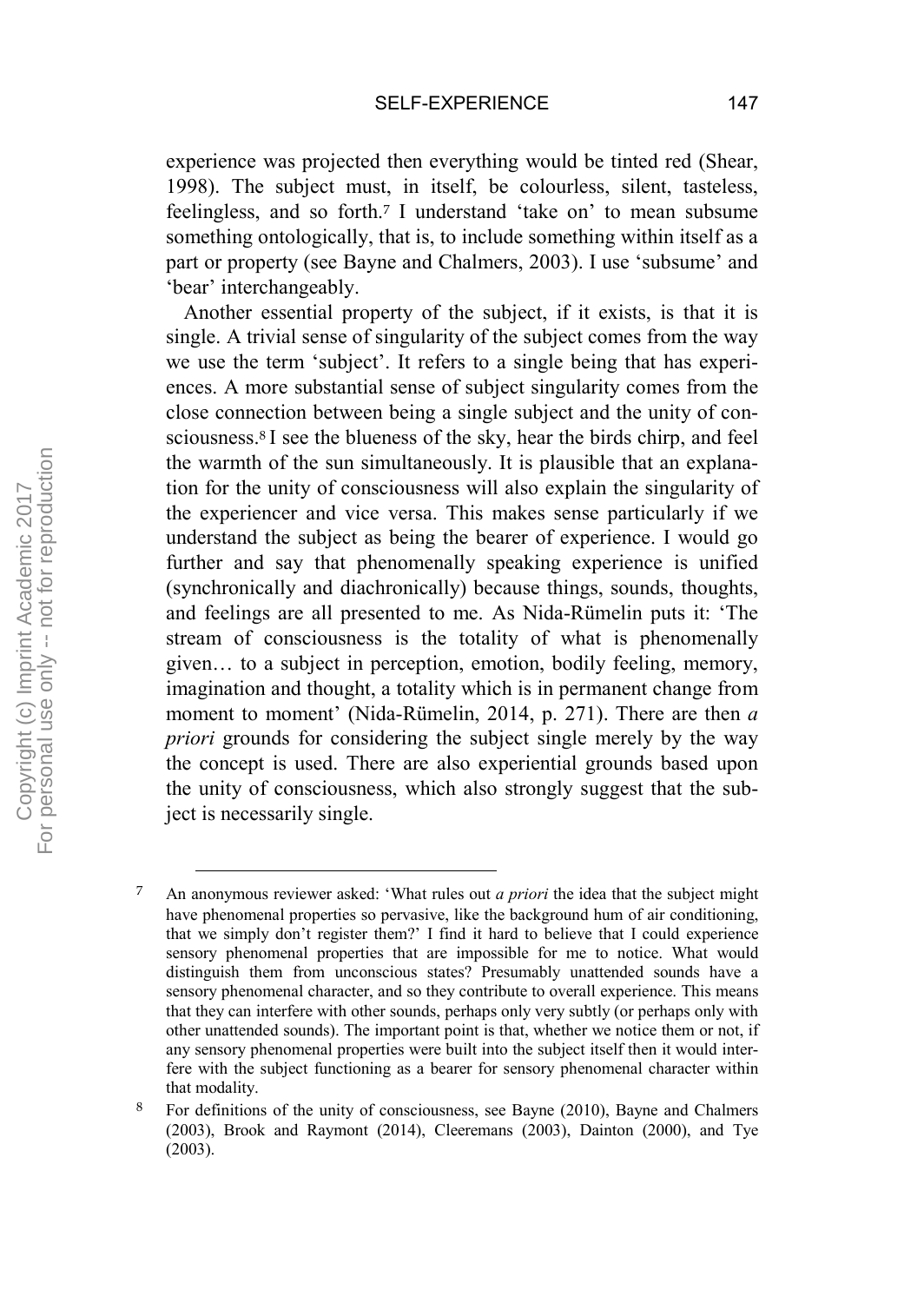experience was projected then everything would be tinted red (Shear, 1998). The subject must, in itself, be colourless, silent, tasteless, feelingless, and so forth.<sup>7</sup> I understand 'take on' to mean subsume something ontologically, that is, to include something within itself as a part or property (see Bayne and Chalmers, 2003). I use 'subsume' and 'bear' interchangeably.

Another essential property of the subject, if it exists, is that it is single. A trivial sense of singularity of the subject comes from the way we use the term 'subject'. It refers to a single being that has experiences. A more substantial sense of subject singularity comes from the close connection between being a single subject and the unity of consciousness.<sup>8</sup> I see the blueness of the sky, hear the birds chirp, and feel the warmth of the sun simultaneously. It is plausible that an explanation for the unity of consciousness will also explain the singularity of the experiencer and vice versa. This makes sense particularly if we understand the subject as being the bearer of experience. I would go further and say that phenomenally speaking experience is unified (synchronically and diachronically) because things, sounds, thoughts, and feelings are all presented to me. As Nida-Rümelin puts it: 'The stream of consciousness is the totality of what is phenomenally given… to a subject in perception, emotion, bodily feeling, memory, imagination and thought, a totality which is in permanent change from moment to moment' (Nida-Rümelin, 2014, p. 271). There are then *a priori* grounds for considering the subject single merely by the way the concept is used. There are also experiential grounds based upon the unity of consciousness, which also strongly suggest that the subject is necessarily single.

 <sup>7</sup> An anonymous reviewer asked: 'What rules out *a priori* the idea that the subject might have phenomenal properties so pervasive, like the background hum of air conditioning, that we simply don't register them?' I find it hard to believe that I could experience sensory phenomenal properties that are impossible for me to notice. What would distinguish them from unconscious states? Presumably unattended sounds have a sensory phenomenal character, and so they contribute to overall experience. This means that they can interfere with other sounds, perhaps only very subtly (or perhaps only with other unattended sounds). The important point is that, whether we notice them or not, if any sensory phenomenal properties were built into the subject itself then it would interfere with the subject functioning as a bearer for sensory phenomenal character within that modality.

<sup>8</sup> For definitions of the unity of consciousness, see Bayne (2010), Bayne and Chalmers (2003), Brook and Raymont (2014), Cleeremans (2003), Dainton (2000), and Tye (2003).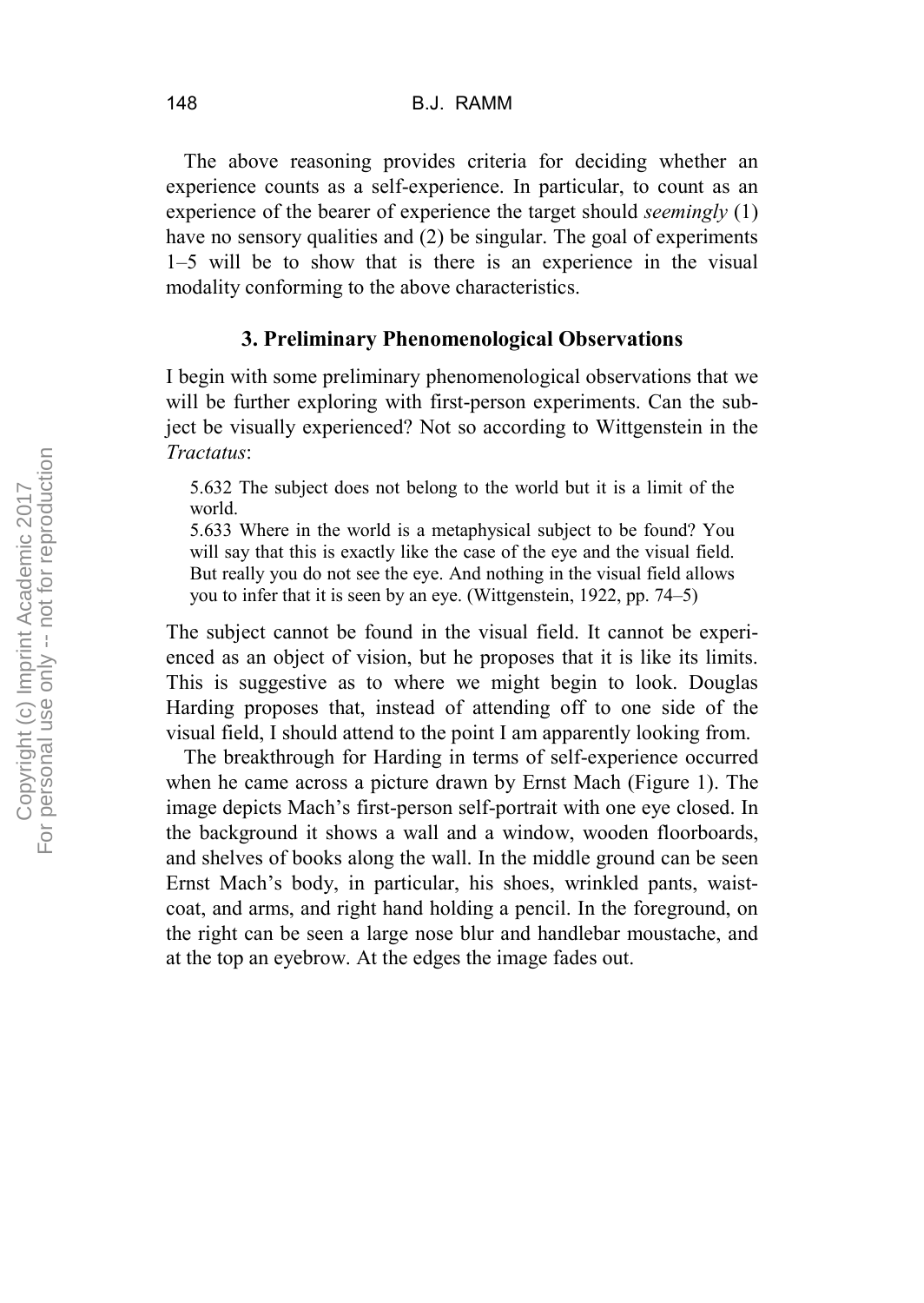The above reasoning provides criteria for deciding whether an experience counts as a self-experience. In particular, to count as an experience of the bearer of experience the target should *seemingly* (1) have no sensory qualities and (2) be singular. The goal of experiments 1–5 will be to show that is there is an experience in the visual modality conforming to the above characteristics.

# **3. Preliminary Phenomenological Observations**

I begin with some preliminary phenomenological observations that we will be further exploring with first-person experiments. Can the subject be visually experienced? Not so according to Wittgenstein in the *Tractatus*:

5.632 The subject does not belong to the world but it is a limit of the world.

5.633 Where in the world is a metaphysical subject to be found? You will say that this is exactly like the case of the eye and the visual field. But really you do not see the eye. And nothing in the visual field allows you to infer that it is seen by an eye. (Wittgenstein, 1922, pp. 74–5)

The subject cannot be found in the visual field. It cannot be experienced as an object of vision, but he proposes that it is like its limits. This is suggestive as to where we might begin to look. Douglas Harding proposes that, instead of attending off to one side of the visual field, I should attend to the point I am apparently looking from.

The breakthrough for Harding in terms of self-experience occurred when he came across a picture drawn by Ernst Mach (Figure 1). The image depicts Mach's first-person self-portrait with one eye closed. In the background it shows a wall and a window, wooden floorboards, and shelves of books along the wall. In the middle ground can be seen Ernst Mach's body, in particular, his shoes, wrinkled pants, waistcoat, and arms, and right hand holding a pencil. In the foreground, on the right can be seen a large nose blur and handlebar moustache, and at the top an eyebrow. At the edges the image fades out.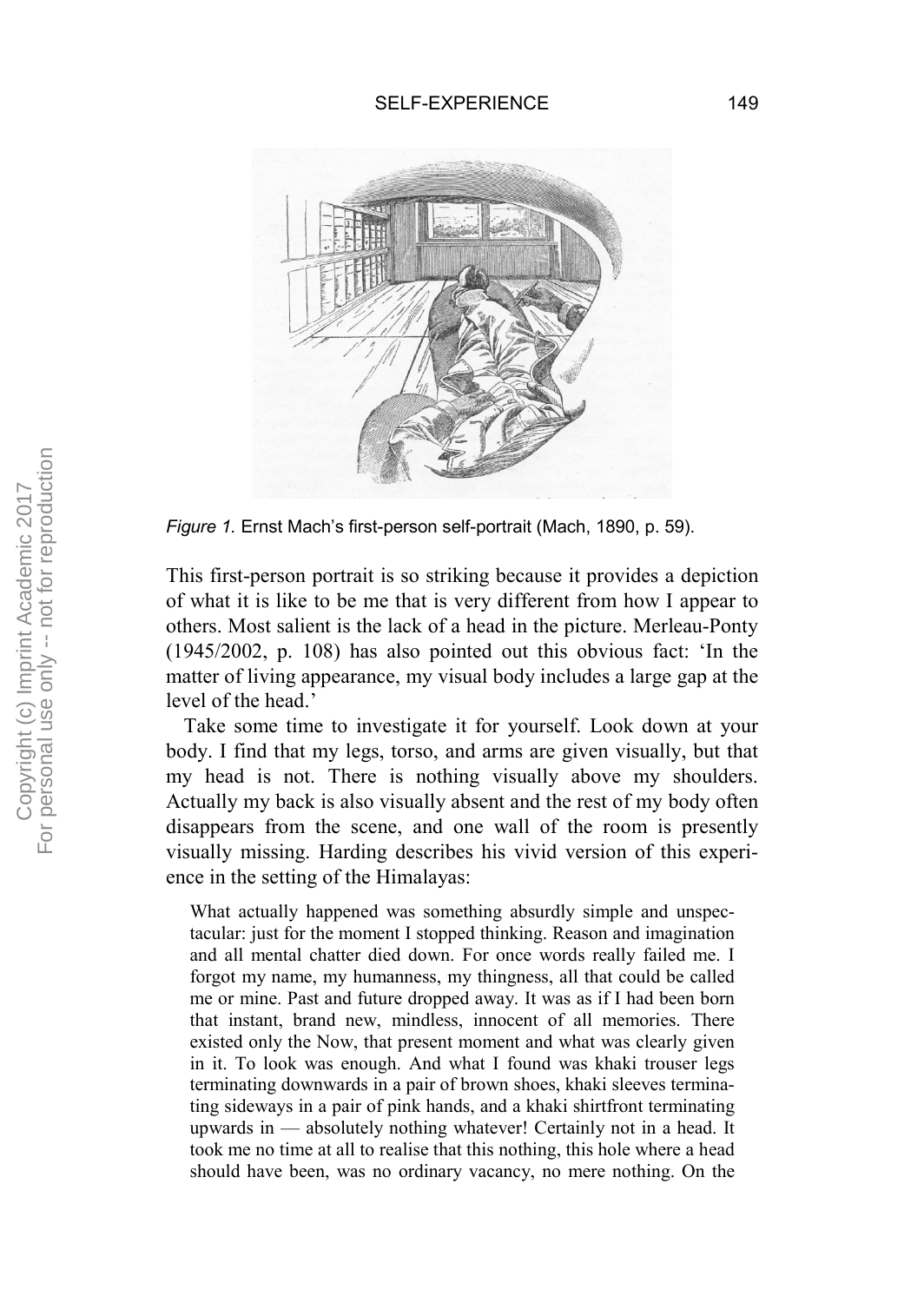

*Figure 1.* Ernst Mach's first-person self-portrait (Mach, 1890, p. 59).

This first-person portrait is so striking because it provides a depiction of what it is like to be me that is very different from how I appear to others. Most salient is the lack of a head in the picture. Merleau-Ponty (1945/2002, p. 108) has also pointed out this obvious fact: 'In the matter of living appearance, my visual body includes a large gap at the level of the head.'

Take some time to investigate it for yourself. Look down at your body. I find that my legs, torso, and arms are given visually, but that my head is not. There is nothing visually above my shoulders. Actually my back is also visually absent and the rest of my body often disappears from the scene, and one wall of the room is presently visually missing. Harding describes his vivid version of this experience in the setting of the Himalayas:

What actually happened was something absurdly simple and unspectacular: just for the moment I stopped thinking. Reason and imagination and all mental chatter died down. For once words really failed me. I forgot my name, my humanness, my thingness, all that could be called me or mine. Past and future dropped away. It was as if I had been born that instant, brand new, mindless, innocent of all memories. There existed only the Now, that present moment and what was clearly given in it. To look was enough. And what I found was khaki trouser legs terminating downwards in a pair of brown shoes, khaki sleeves terminating sideways in a pair of pink hands, and a khaki shirtfront terminating upwards in — absolutely nothing whatever! Certainly not in a head. It took me no time at all to realise that this nothing, this hole where a head should have been, was no ordinary vacancy, no mere nothing. On the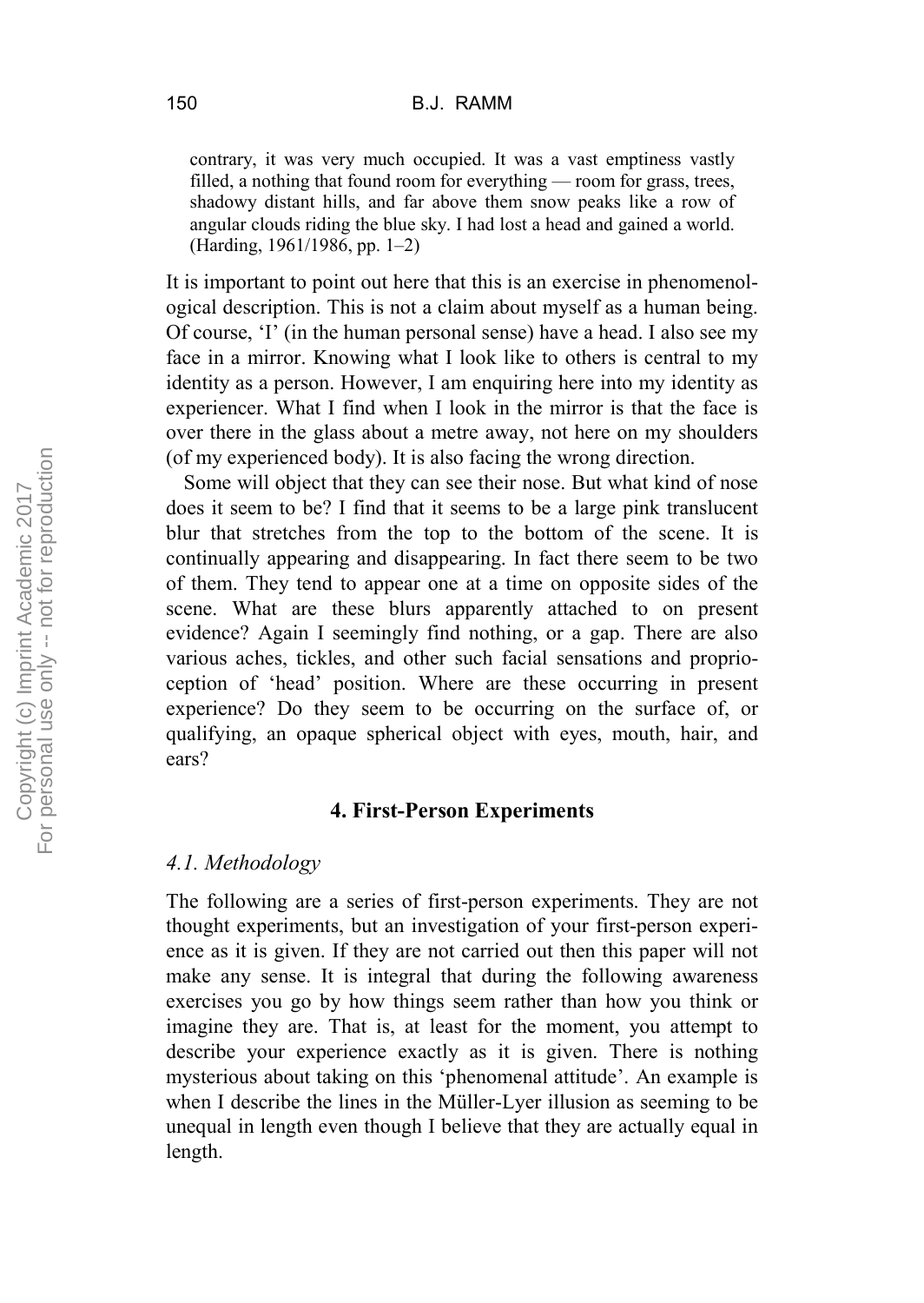contrary, it was very much occupied. It was a vast emptiness vastly filled, a nothing that found room for everything — room for grass, trees, shadowy distant hills, and far above them snow peaks like a row of angular clouds riding the blue sky. I had lost a head and gained a world. (Harding, 1961/1986, pp. 1–2)

It is important to point out here that this is an exercise in phenomenological description. This is not a claim about myself as a human being. Of course, 'I' (in the human personal sense) have a head. I also see my face in a mirror. Knowing what I look like to others is central to my identity as a person. However, I am enquiring here into my identity as experiencer. What I find when I look in the mirror is that the face is over there in the glass about a metre away, not here on my shoulders (of my experienced body). It is also facing the wrong direction.

Some will object that they can see their nose. But what kind of nose does it seem to be? I find that it seems to be a large pink translucent blur that stretches from the top to the bottom of the scene. It is continually appearing and disappearing. In fact there seem to be two of them. They tend to appear one at a time on opposite sides of the scene. What are these blurs apparently attached to on present evidence? Again I seemingly find nothing, or a gap. There are also various aches, tickles, and other such facial sensations and proprioception of 'head' position. Where are these occurring in present experience? Do they seem to be occurring on the surface of, or qualifying, an opaque spherical object with eyes, mouth, hair, and ears?

## **4. First-Person Experiments**

## *4.1. Methodology*

The following are a series of first-person experiments. They are not thought experiments, but an investigation of your first-person experience as it is given. If they are not carried out then this paper will not make any sense. It is integral that during the following awareness exercises you go by how things seem rather than how you think or imagine they are. That is, at least for the moment, you attempt to describe your experience exactly as it is given. There is nothing mysterious about taking on this 'phenomenal attitude'. An example is when I describe the lines in the Müller-Lyer illusion as seeming to be unequal in length even though I believe that they are actually equal in length.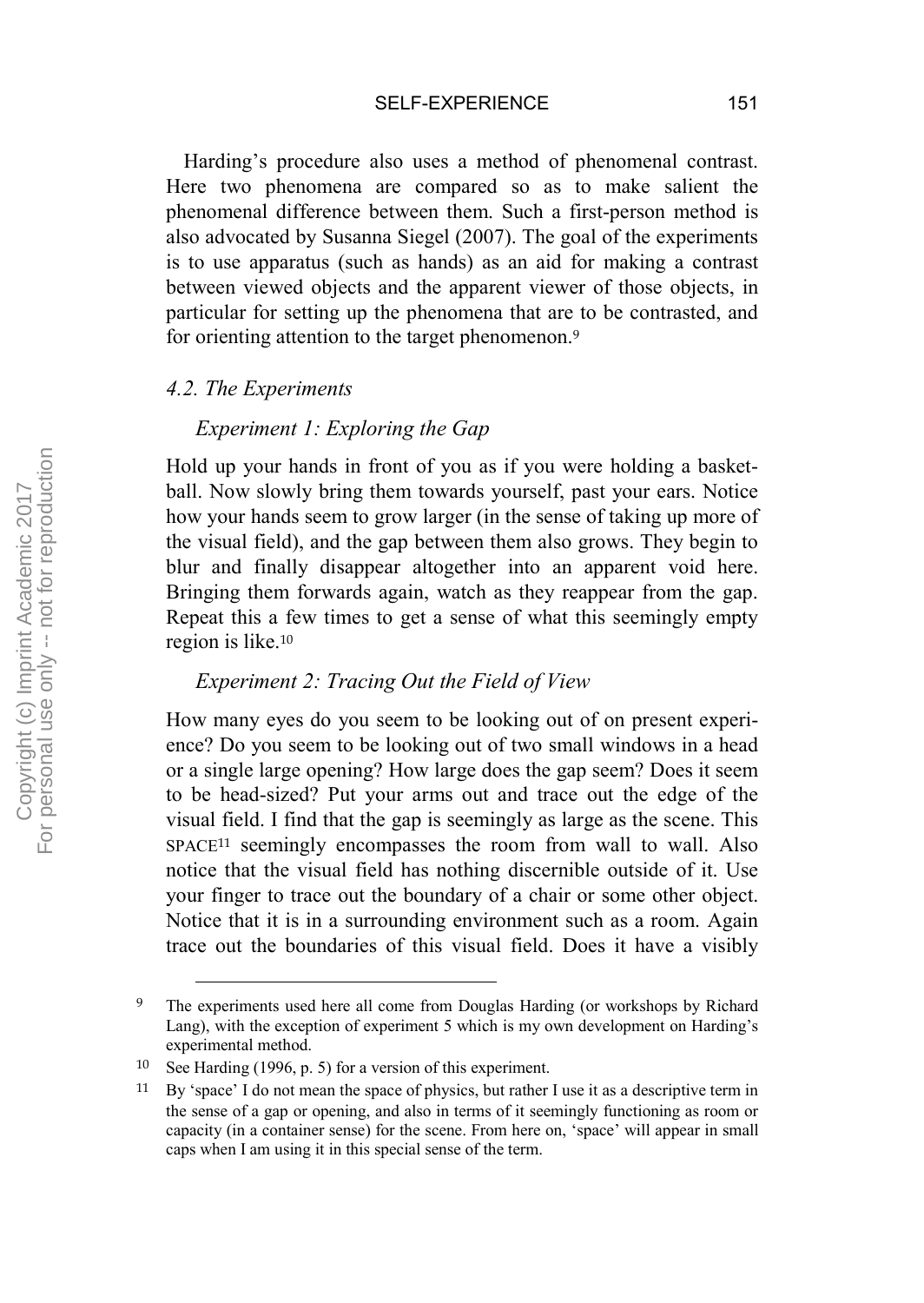SELF-EXPERIENCE 151

Harding's procedure also uses a method of phenomenal contrast. Here two phenomena are compared so as to make salient the phenomenal difference between them. Such a first-person method is also advocated by Susanna Siegel (2007). The goal of the experiments is to use apparatus (such as hands) as an aid for making a contrast between viewed objects and the apparent viewer of those objects, in particular for setting up the phenomena that are to be contrasted, and for orienting attention to the target phenomenon.<sup>9</sup>

#### *4.2. The Experiments*

#### *Experiment 1: Exploring the Gap*

Hold up your hands in front of you as if you were holding a basketball. Now slowly bring them towards yourself, past your ears. Notice how your hands seem to grow larger (in the sense of taking up more of the visual field), and the gap between them also grows. They begin to blur and finally disappear altogether into an apparent void here. Bringing them forwards again, watch as they reappear from the gap. Repeat this a few times to get a sense of what this seemingly empty region is like.<sup>10</sup>

# *Experiment 2: Tracing Out the Field of View*

How many eyes do you seem to be looking out of on present experience? Do you seem to be looking out of two small windows in a head or a single large opening? How large does the gap seem? Does it seem to be head-sized? Put your arms out and trace out the edge of the visual field. I find that the gap is seemingly as large as the scene. This SPACE<sup>11</sup> seemingly encompasses the room from wall to wall. Also notice that the visual field has nothing discernible outside of it. Use your finger to trace out the boundary of a chair or some other object. Notice that it is in a surrounding environment such as a room. Again trace out the boundaries of this visual field. Does it have a visibly

<sup>&</sup>lt;sup>9</sup> The experiments used here all come from Douglas Harding (or workshops by Richard Lang), with the exception of experiment 5 which is my own development on Harding's experimental method.

<sup>10</sup> See Harding (1996, p. 5) for a version of this experiment.

<sup>11</sup> By 'space' I do not mean the space of physics, but rather I use it as a descriptive term in the sense of a gap or opening, and also in terms of it seemingly functioning as room or capacity (in a container sense) for the scene. From here on, 'space' will appear in small caps when I am using it in this special sense of the term.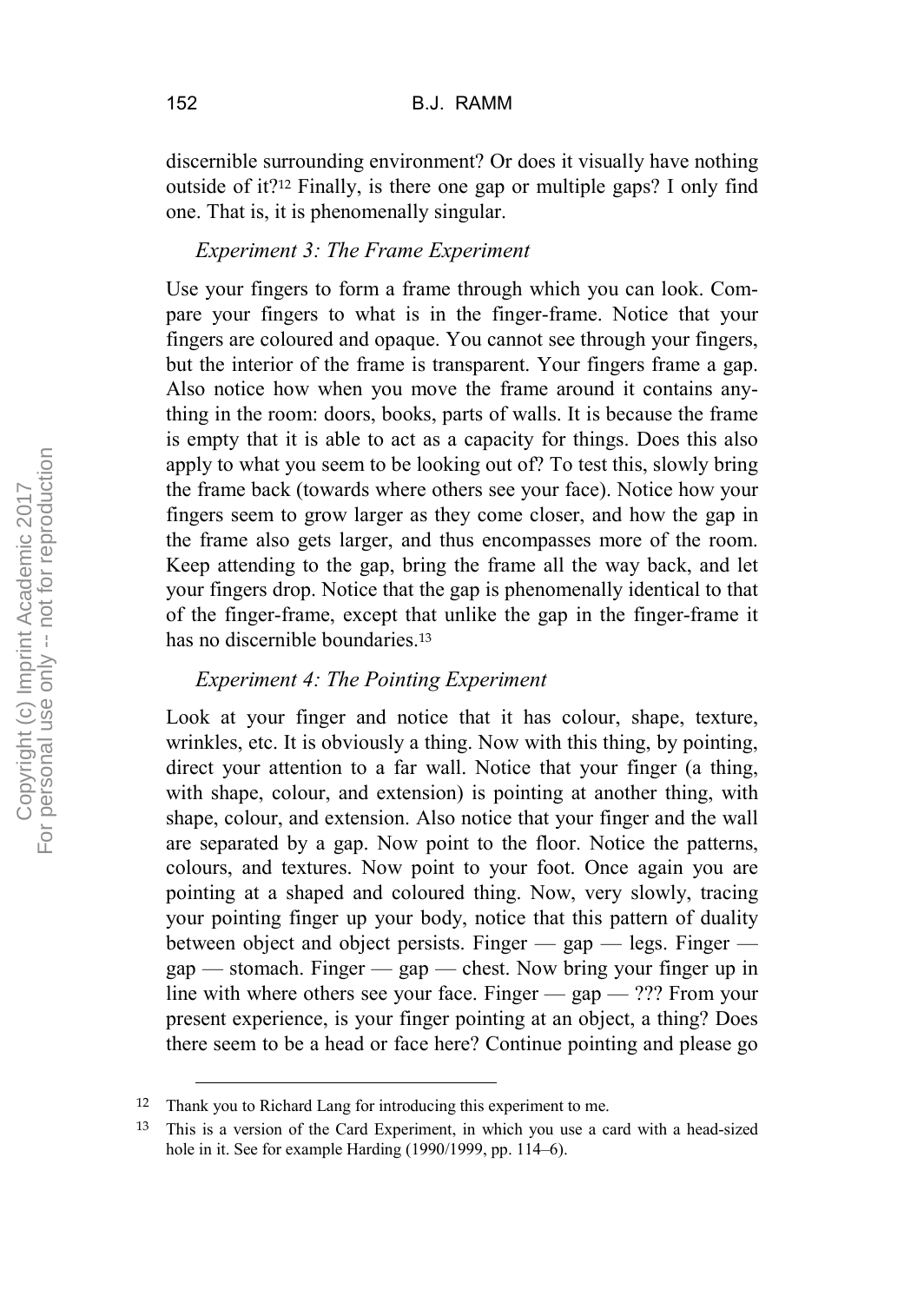discernible surrounding environment? Or does it visually have nothing outside of it?<sup>12</sup> Finally, is there one gap or multiple gaps? I only find one. That is, it is phenomenally singular.

# *Experiment 3: The Frame Experiment*

Use your fingers to form a frame through which you can look. Compare your fingers to what is in the finger-frame. Notice that your fingers are coloured and opaque. You cannot see through your fingers, but the interior of the frame is transparent. Your fingers frame a gap. Also notice how when you move the frame around it contains anything in the room: doors, books, parts of walls. It is because the frame is empty that it is able to act as a capacity for things. Does this also apply to what you seem to be looking out of? To test this, slowly bring the frame back (towards where others see your face). Notice how your fingers seem to grow larger as they come closer, and how the gap in the frame also gets larger, and thus encompasses more of the room. Keep attending to the gap, bring the frame all the way back, and let your fingers drop. Notice that the gap is phenomenally identical to that of the finger-frame, except that unlike the gap in the finger-frame it has no discernible boundaries.<sup>13</sup>

# *Experiment 4: The Pointing Experiment*

Look at your finger and notice that it has colour, shape, texture, wrinkles, etc. It is obviously a thing. Now with this thing, by pointing, direct your attention to a far wall. Notice that your finger (a thing, with shape, colour, and extension) is pointing at another thing, with shape, colour, and extension. Also notice that your finger and the wall are separated by a gap. Now point to the floor. Notice the patterns, colours, and textures. Now point to your foot. Once again you are pointing at a shaped and coloured thing. Now, very slowly, tracing your pointing finger up your body, notice that this pattern of duality between object and object persists. Finger — gap — legs. Finger  $gap$  — stomach. Finger — gap — chest. Now bring your finger up in line with where others see your face. Finger  $-$  gap  $-$  ??? From your present experience, is your finger pointing at an object, a thing? Does there seem to be a head or face here? Continue pointing and please go

 <sup>12</sup> Thank you to Richard Lang for introducing this experiment to me.

<sup>13</sup> This is a version of the Card Experiment, in which you use a card with a head-sized hole in it. See for example Harding (1990/1999, pp. 114–6).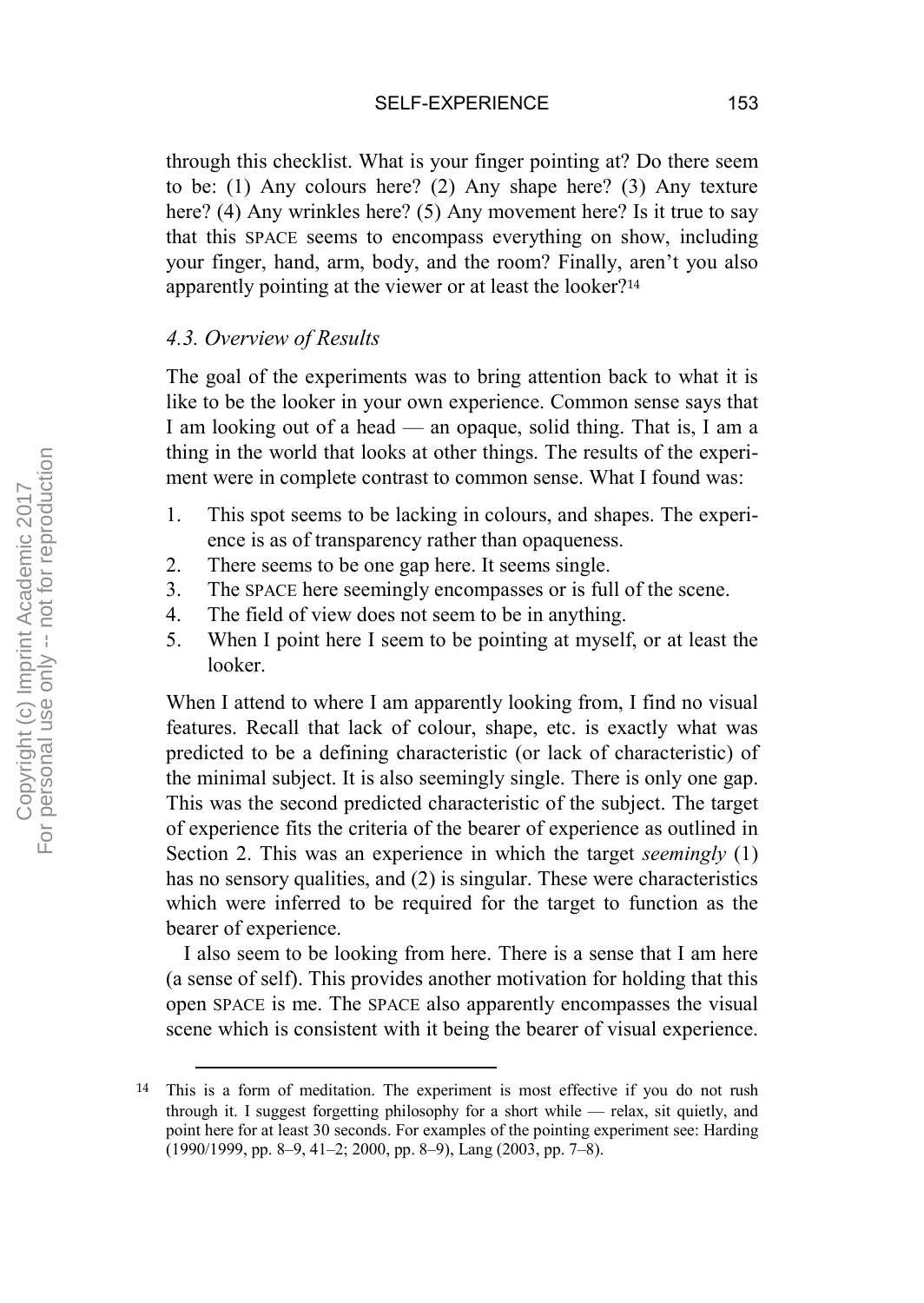through this checklist. What is your finger pointing at? Do there seem to be: (1) Any colours here? (2) Any shape here? (3) Any texture here? (4) Any wrinkles here? (5) Any movement here? Is it true to say that this SPACE seems to encompass everything on show, including your finger, hand, arm, body, and the room? Finally, aren't you also apparently pointing at the viewer or at least the looker?<sup>14</sup>

# *4.3. Overview of Results*

The goal of the experiments was to bring attention back to what it is like to be the looker in your own experience. Common sense says that I am looking out of a head — an opaque, solid thing. That is, I am a thing in the world that looks at other things. The results of the experiment were in complete contrast to common sense. What I found was:

- 1. This spot seems to be lacking in colours, and shapes. The experience is as of transparency rather than opaqueness.
- 2. There seems to be one gap here. It seems single.
- 3. The SPACE here seemingly encompasses or is full of the scene.
- 4. The field of view does not seem to be in anything.
- 5. When I point here I seem to be pointing at myself, or at least the looker.

When I attend to where I am apparently looking from, I find no visual features. Recall that lack of colour, shape, etc. is exactly what was predicted to be a defining characteristic (or lack of characteristic) of the minimal subject. It is also seemingly single. There is only one gap. This was the second predicted characteristic of the subject. The target of experience fits the criteria of the bearer of experience as outlined in Section 2. This was an experience in which the target *seemingly* (1) has no sensory qualities, and (2) is singular. These were characteristics which were inferred to be required for the target to function as the bearer of experience.

I also seem to be looking from here. There is a sense that I am here (a sense of self). This provides another motivation for holding that this open SPACE is me. The SPACE also apparently encompasses the visual scene which is consistent with it being the bearer of visual experience.

 <sup>14</sup> This is a form of meditation. The experiment is most effective if you do not rush through it. I suggest forgetting philosophy for a short while — relax, sit quietly, and point here for at least 30 seconds. For examples of the pointing experiment see: Harding (1990/1999, pp. 8–9, 41–2; 2000, pp. 8–9), Lang (2003, pp. 7–8).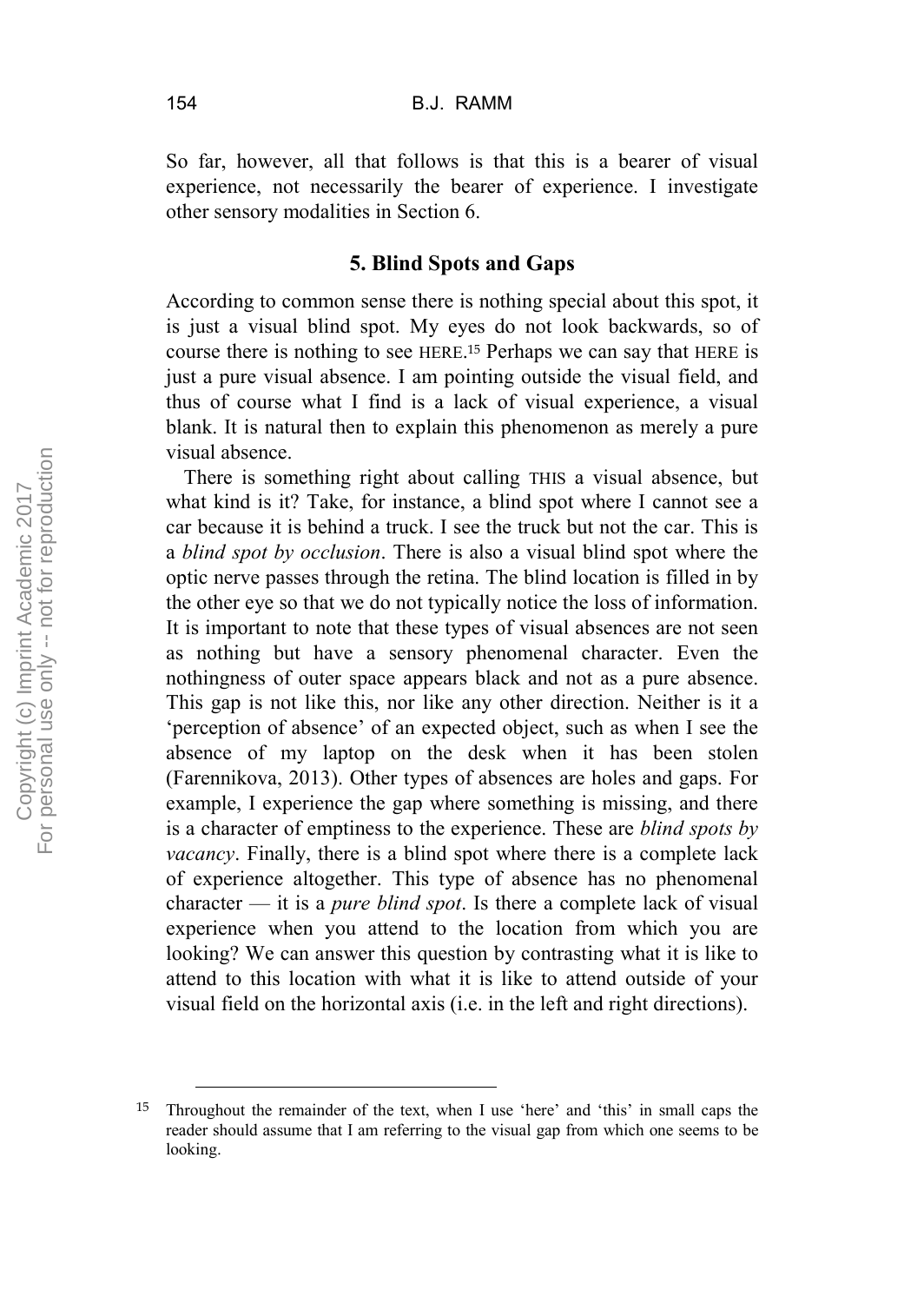So far, however, all that follows is that this is a bearer of visual experience, not necessarily the bearer of experience. I investigate other sensory modalities in Section 6.

# **5. Blind Spots and Gaps**

According to common sense there is nothing special about this spot, it is just a visual blind spot. My eyes do not look backwards, so of course there is nothing to see HERE.<sup>15</sup> Perhaps we can say that HERE is just a pure visual absence. I am pointing outside the visual field, and thus of course what I find is a lack of visual experience, a visual blank. It is natural then to explain this phenomenon as merely a pure visual absence.

There is something right about calling THIS a visual absence, but what kind is it? Take, for instance, a blind spot where I cannot see a car because it is behind a truck. I see the truck but not the car. This is a *blind spot by occlusion*. There is also a visual blind spot where the optic nerve passes through the retina. The blind location is filled in by the other eye so that we do not typically notice the loss of information. It is important to note that these types of visual absences are not seen as nothing but have a sensory phenomenal character. Even the nothingness of outer space appears black and not as a pure absence. This gap is not like this, nor like any other direction. Neither is it a 'perception of absence' of an expected object, such as when I see the absence of my laptop on the desk when it has been stolen (Farennikova, 2013). Other types of absences are holes and gaps. For example, I experience the gap where something is missing, and there is a character of emptiness to the experience. These are *blind spots by vacancy*. Finally, there is a blind spot where there is a complete lack of experience altogether. This type of absence has no phenomenal character — it is a *pure blind spot*. Is there a complete lack of visual experience when you attend to the location from which you are looking? We can answer this question by contrasting what it is like to attend to this location with what it is like to attend outside of your visual field on the horizontal axis (i.e. in the left and right directions).

 <sup>15</sup> Throughout the remainder of the text, when I use 'here' and 'this' in small caps the reader should assume that I am referring to the visual gap from which one seems to be looking.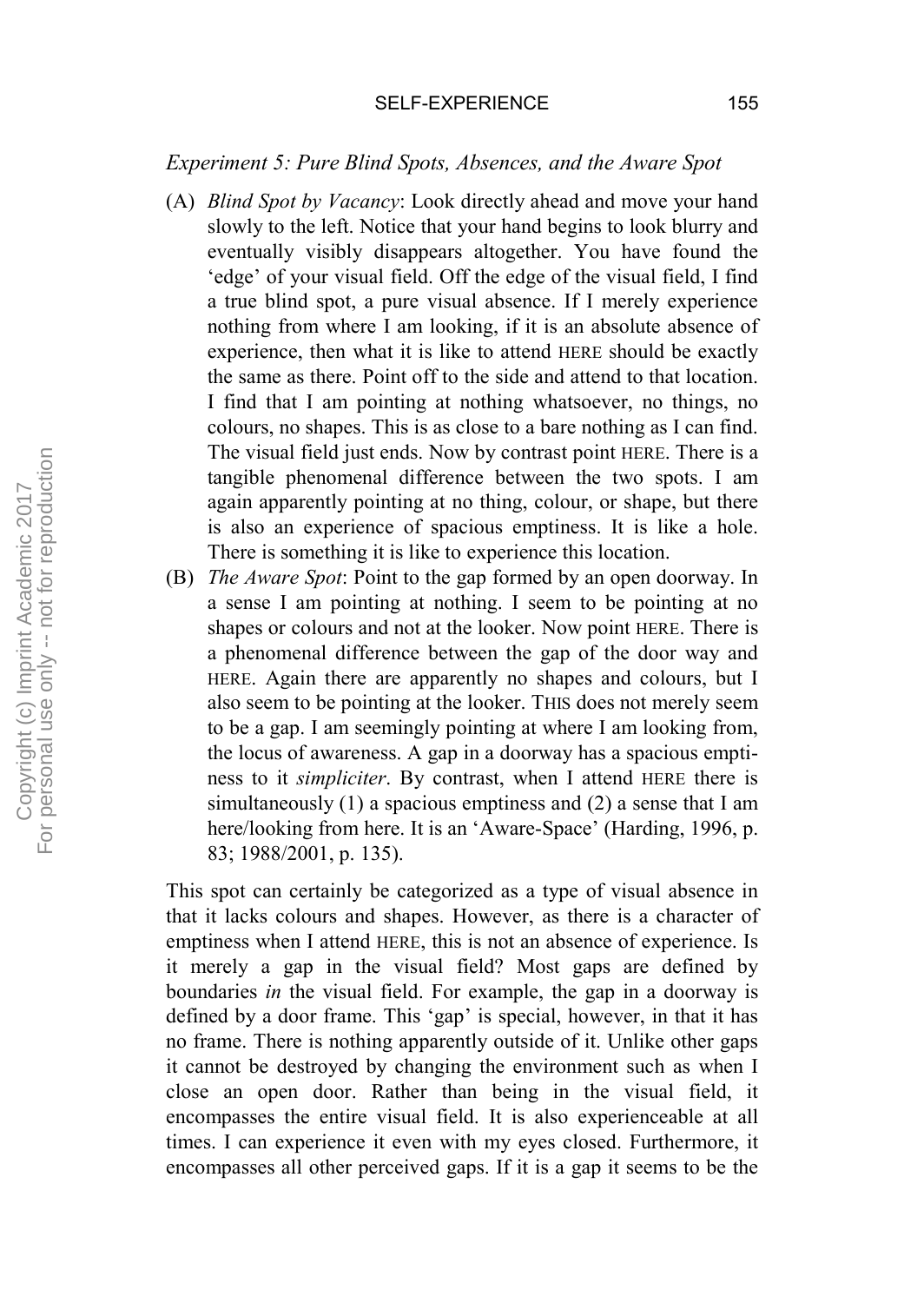## *Experiment 5: Pure Blind Spots, Absences, and the Aware Spot*

- (A) *Blind Spot by Vacancy*: Look directly ahead and move your hand slowly to the left. Notice that your hand begins to look blurry and eventually visibly disappears altogether. You have found the 'edge' of your visual field. Off the edge of the visual field, I find a true blind spot, a pure visual absence. If I merely experience nothing from where I am looking, if it is an absolute absence of experience, then what it is like to attend HERE should be exactly the same as there. Point off to the side and attend to that location. I find that I am pointing at nothing whatsoever, no things, no colours, no shapes. This is as close to a bare nothing as I can find. The visual field just ends. Now by contrast point HERE. There is a tangible phenomenal difference between the two spots. I am again apparently pointing at no thing, colour, or shape, but there is also an experience of spacious emptiness. It is like a hole. There is something it is like to experience this location.
- (B) *The Aware Spot*: Point to the gap formed by an open doorway. In a sense I am pointing at nothing. I seem to be pointing at no shapes or colours and not at the looker. Now point HERE. There is a phenomenal difference between the gap of the door way and HERE. Again there are apparently no shapes and colours, but I also seem to be pointing at the looker. THIS does not merely seem to be a gap. I am seemingly pointing at where I am looking from, the locus of awareness. A gap in a doorway has a spacious emptiness to it *simpliciter*. By contrast, when I attend HERE there is simultaneously (1) a spacious emptiness and (2) a sense that I am here/looking from here. It is an 'Aware-Space' (Harding, 1996, p. 83; 1988/2001, p. 135).

This spot can certainly be categorized as a type of visual absence in that it lacks colours and shapes. However, as there is a character of emptiness when I attend HERE, this is not an absence of experience. Is it merely a gap in the visual field? Most gaps are defined by boundaries *in* the visual field. For example, the gap in a doorway is defined by a door frame. This 'gap' is special, however, in that it has no frame. There is nothing apparently outside of it. Unlike other gaps it cannot be destroyed by changing the environment such as when I close an open door. Rather than being in the visual field, it encompasses the entire visual field. It is also experienceable at all times. I can experience it even with my eyes closed. Furthermore, it encompasses all other perceived gaps. If it is a gap it seems to be the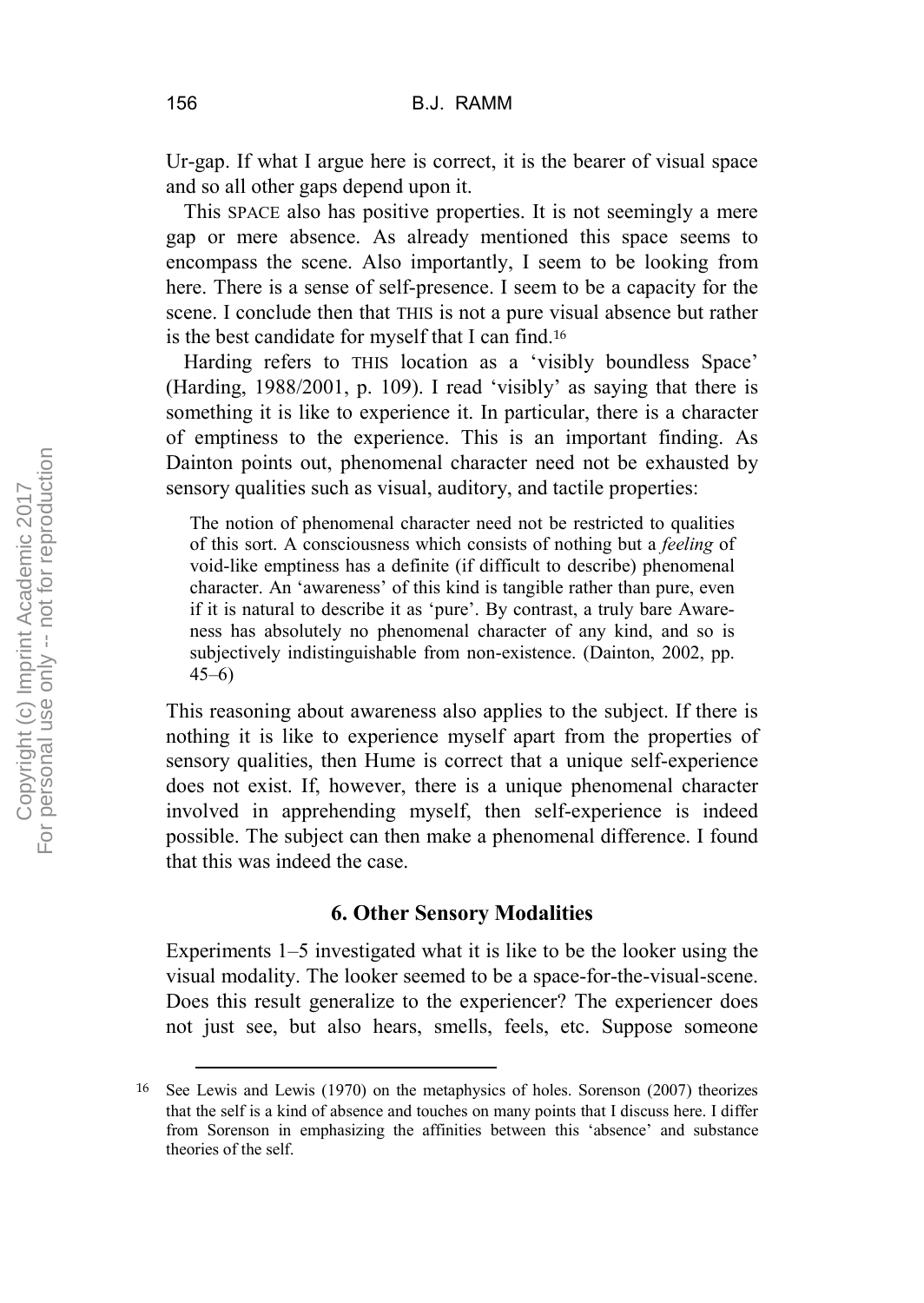Ur-gap. If what I argue here is correct, it is the bearer of visual space and so all other gaps depend upon it.

This SPACE also has positive properties. It is not seemingly a mere gap or mere absence. As already mentioned this space seems to encompass the scene. Also importantly, I seem to be looking from here. There is a sense of self-presence. I seem to be a capacity for the scene. I conclude then that THIS is not a pure visual absence but rather is the best candidate for myself that I can find.<sup>16</sup>

Harding refers to THIS location as a 'visibly boundless Space' (Harding, 1988/2001, p. 109). I read 'visibly' as saying that there is something it is like to experience it. In particular, there is a character of emptiness to the experience. This is an important finding. As Dainton points out, phenomenal character need not be exhausted by sensory qualities such as visual, auditory, and tactile properties:

The notion of phenomenal character need not be restricted to qualities of this sort. A consciousness which consists of nothing but a *feeling* of void-like emptiness has a definite (if difficult to describe) phenomenal character. An 'awareness' of this kind is tangible rather than pure, even if it is natural to describe it as 'pure'. By contrast, a truly bare Awareness has absolutely no phenomenal character of any kind, and so is subjectively indistinguishable from non-existence. (Dainton, 2002, pp. 45–6)

This reasoning about awareness also applies to the subject. If there is nothing it is like to experience myself apart from the properties of sensory qualities, then Hume is correct that a unique self-experience does not exist. If, however, there is a unique phenomenal character involved in apprehending myself, then self-experience is indeed possible. The subject can then make a phenomenal difference. I found that this was indeed the case.

# **6. Other Sensory Modalities**

Experiments 1–5 investigated what it is like to be the looker using the visual modality. The looker seemed to be a space-for-the-visual-scene. Does this result generalize to the experiencer? The experiencer does not just see, but also hears, smells, feels, etc. Suppose someone

 <sup>16</sup> See Lewis and Lewis (1970) on the metaphysics of holes. Sorenson (2007) theorizes that the self is a kind of absence and touches on many points that I discuss here. I differ from Sorenson in emphasizing the affinities between this 'absence' and substance theories of the self.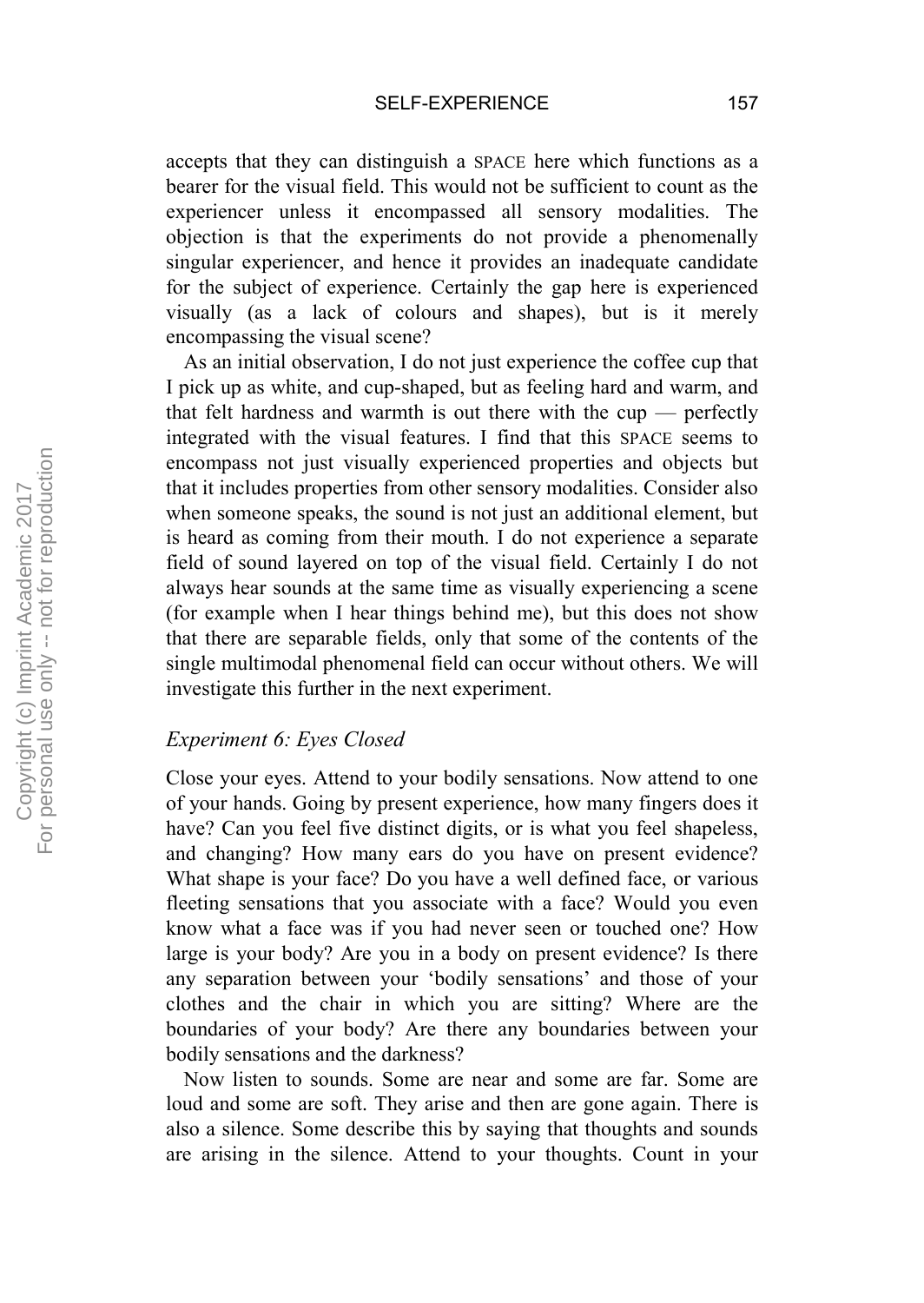accepts that they can distinguish a SPACE here which functions as a bearer for the visual field. This would not be sufficient to count as the experiencer unless it encompassed all sensory modalities. The objection is that the experiments do not provide a phenomenally singular experiencer, and hence it provides an inadequate candidate for the subject of experience. Certainly the gap here is experienced visually (as a lack of colours and shapes), but is it merely encompassing the visual scene?

As an initial observation, I do not just experience the coffee cup that I pick up as white, and cup-shaped, but as feeling hard and warm, and that felt hardness and warmth is out there with the cup — perfectly integrated with the visual features. I find that this SPACE seems to encompass not just visually experienced properties and objects but that it includes properties from other sensory modalities. Consider also when someone speaks, the sound is not just an additional element, but is heard as coming from their mouth. I do not experience a separate field of sound layered on top of the visual field. Certainly I do not always hear sounds at the same time as visually experiencing a scene (for example when I hear things behind me), but this does not show that there are separable fields, only that some of the contents of the single multimodal phenomenal field can occur without others. We will investigate this further in the next experiment.

# *Experiment 6: Eyes Closed*

Close your eyes. Attend to your bodily sensations. Now attend to one of your hands. Going by present experience, how many fingers does it have? Can you feel five distinct digits, or is what you feel shapeless, and changing? How many ears do you have on present evidence? What shape is your face? Do you have a well defined face, or various fleeting sensations that you associate with a face? Would you even know what a face was if you had never seen or touched one? How large is your body? Are you in a body on present evidence? Is there any separation between your 'bodily sensations' and those of your clothes and the chair in which you are sitting? Where are the boundaries of your body? Are there any boundaries between your bodily sensations and the darkness?

Now listen to sounds. Some are near and some are far. Some are loud and some are soft. They arise and then are gone again. There is also a silence. Some describe this by saying that thoughts and sounds are arising in the silence. Attend to your thoughts. Count in your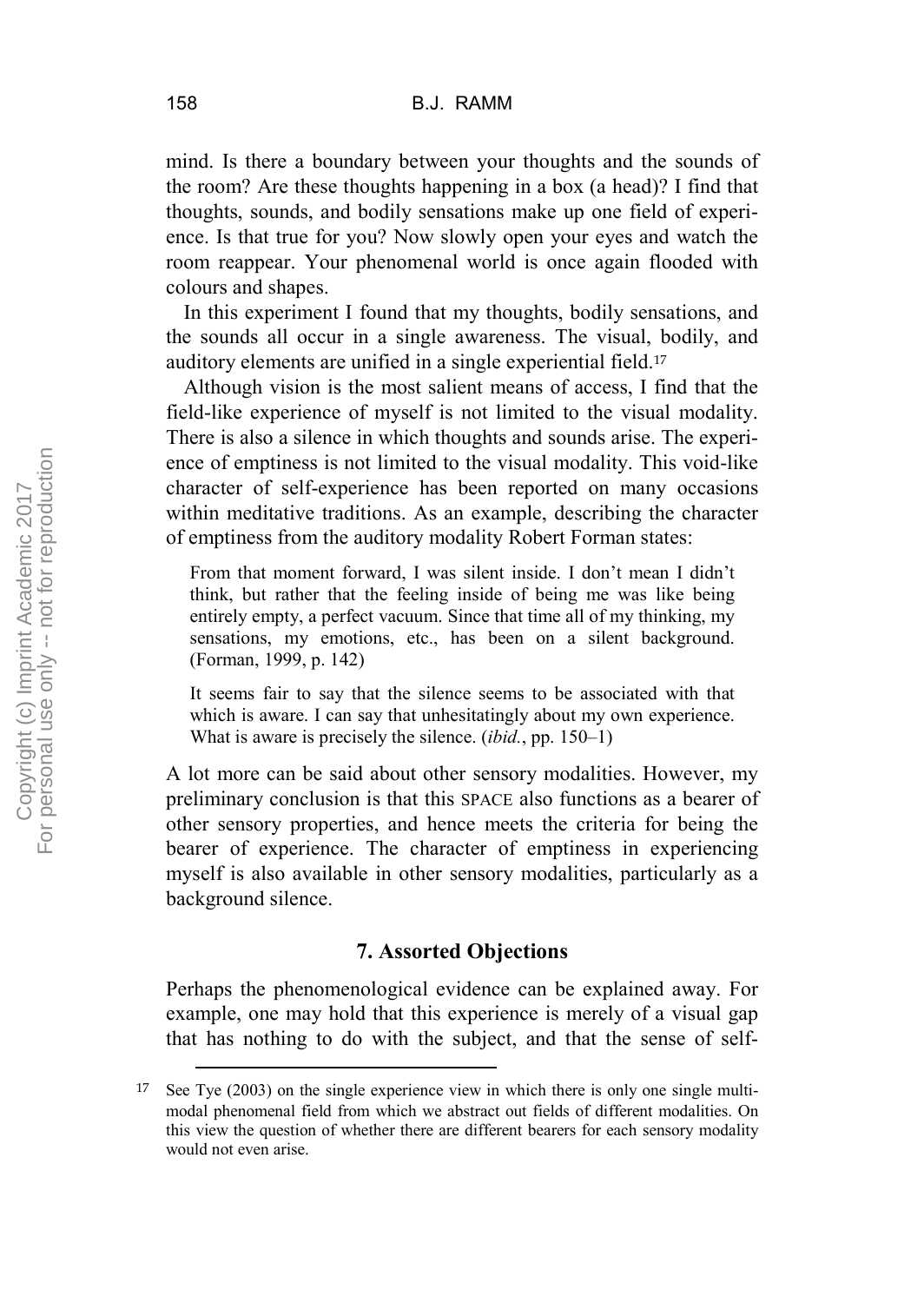mind. Is there a boundary between your thoughts and the sounds of the room? Are these thoughts happening in a box (a head)? I find that thoughts, sounds, and bodily sensations make up one field of experience. Is that true for you? Now slowly open your eyes and watch the room reappear. Your phenomenal world is once again flooded with colours and shapes.

In this experiment I found that my thoughts, bodily sensations, and the sounds all occur in a single awareness. The visual, bodily, and auditory elements are unified in a single experiential field.<sup>17</sup>

Although vision is the most salient means of access, I find that the field-like experience of myself is not limited to the visual modality. There is also a silence in which thoughts and sounds arise. The experience of emptiness is not limited to the visual modality. This void-like character of self-experience has been reported on many occasions within meditative traditions. As an example, describing the character of emptiness from the auditory modality Robert Forman states:

From that moment forward, I was silent inside. I don't mean I didn't think, but rather that the feeling inside of being me was like being entirely empty, a perfect vacuum. Since that time all of my thinking, my sensations, my emotions, etc., has been on a silent background. (Forman, 1999, p. 142)

It seems fair to say that the silence seems to be associated with that which is aware. I can say that unhesitatingly about my own experience. What is aware is precisely the silence. (*ibid.*, pp. 150–1)

A lot more can be said about other sensory modalities. However, my preliminary conclusion is that this SPACE also functions as a bearer of other sensory properties, and hence meets the criteria for being the bearer of experience. The character of emptiness in experiencing myself is also available in other sensory modalities, particularly as a background silence.

# **7. Assorted Objections**

Perhaps the phenomenological evidence can be explained away. For example, one may hold that this experience is merely of a visual gap that has nothing to do with the subject, and that the sense of self-

 <sup>17</sup> See Tye (2003) on the single experience view in which there is only one single multimodal phenomenal field from which we abstract out fields of different modalities. On this view the question of whether there are different bearers for each sensory modality would not even arise.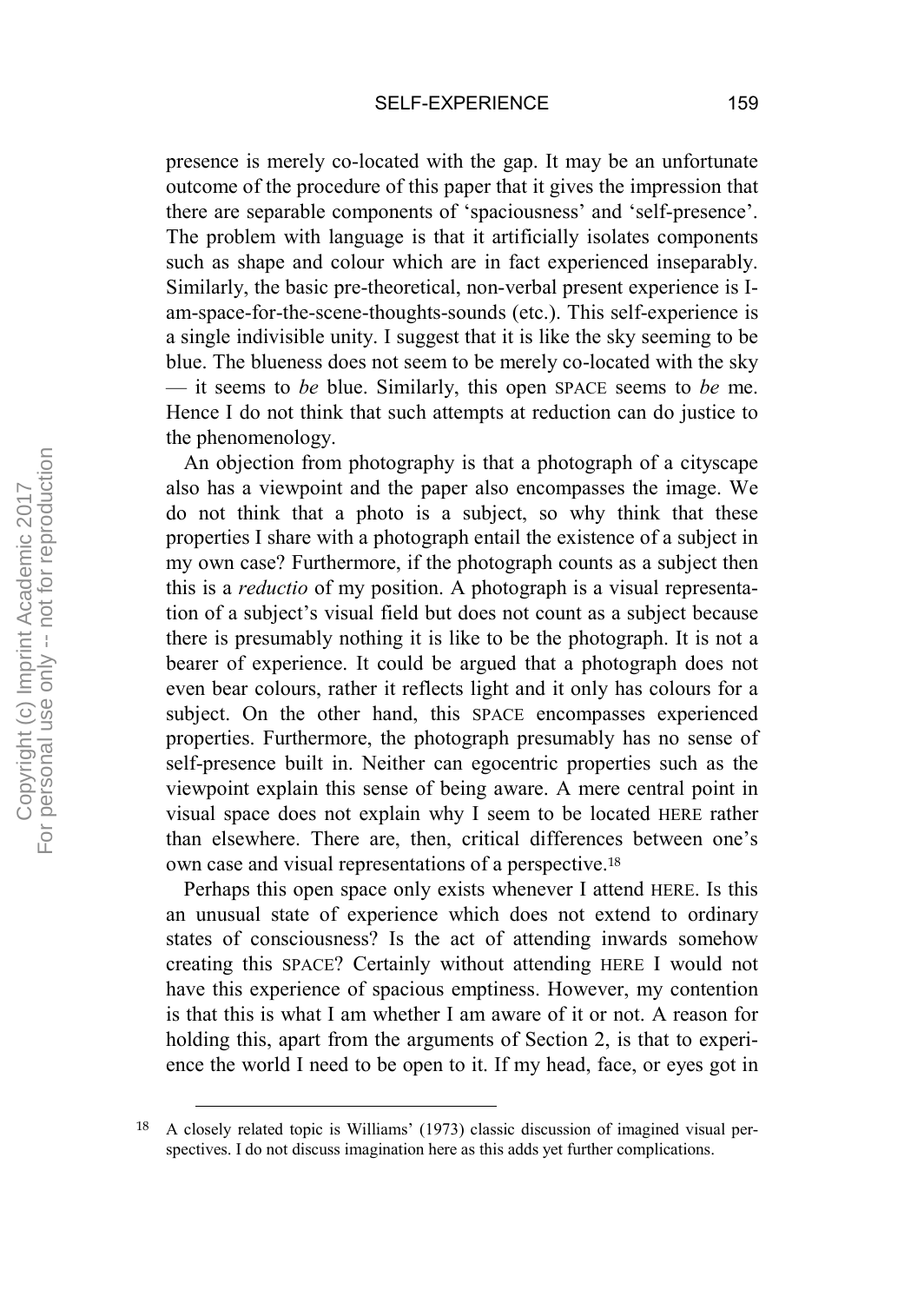presence is merely co-located with the gap. It may be an unfortunate outcome of the procedure of this paper that it gives the impression that there are separable components of 'spaciousness' and 'self-presence'. The problem with language is that it artificially isolates components such as shape and colour which are in fact experienced inseparably. Similarly, the basic pre-theoretical, non-verbal present experience is Iam-space-for-the-scene-thoughts-sounds (etc.). This self-experience is a single indivisible unity. I suggest that it is like the sky seeming to be blue. The blueness does not seem to be merely co-located with the sky — it seems to *be* blue. Similarly, this open SPACE seems to *be* me. Hence I do not think that such attempts at reduction can do justice to the phenomenology.

An objection from photography is that a photograph of a cityscape also has a viewpoint and the paper also encompasses the image. We do not think that a photo is a subject, so why think that these properties I share with a photograph entail the existence of a subject in my own case? Furthermore, if the photograph counts as a subject then this is a *reductio* of my position. A photograph is a visual representation of a subject's visual field but does not count as a subject because there is presumably nothing it is like to be the photograph. It is not a bearer of experience. It could be argued that a photograph does not even bear colours, rather it reflects light and it only has colours for a subject. On the other hand, this SPACE encompasses experienced properties. Furthermore, the photograph presumably has no sense of self-presence built in. Neither can egocentric properties such as the viewpoint explain this sense of being aware. A mere central point in visual space does not explain why I seem to be located HERE rather than elsewhere. There are, then, critical differences between one's own case and visual representations of a perspective.<sup>18</sup>

Perhaps this open space only exists whenever I attend HERE. Is this an unusual state of experience which does not extend to ordinary states of consciousness? Is the act of attending inwards somehow creating this SPACE? Certainly without attending HERE I would not have this experience of spacious emptiness. However, my contention is that this is what I am whether I am aware of it or not. A reason for holding this, apart from the arguments of Section 2, is that to experience the world I need to be open to it. If my head, face, or eyes got in

 <sup>18</sup> A closely related topic is Williams' (1973) classic discussion of imagined visual perspectives. I do not discuss imagination here as this adds yet further complications.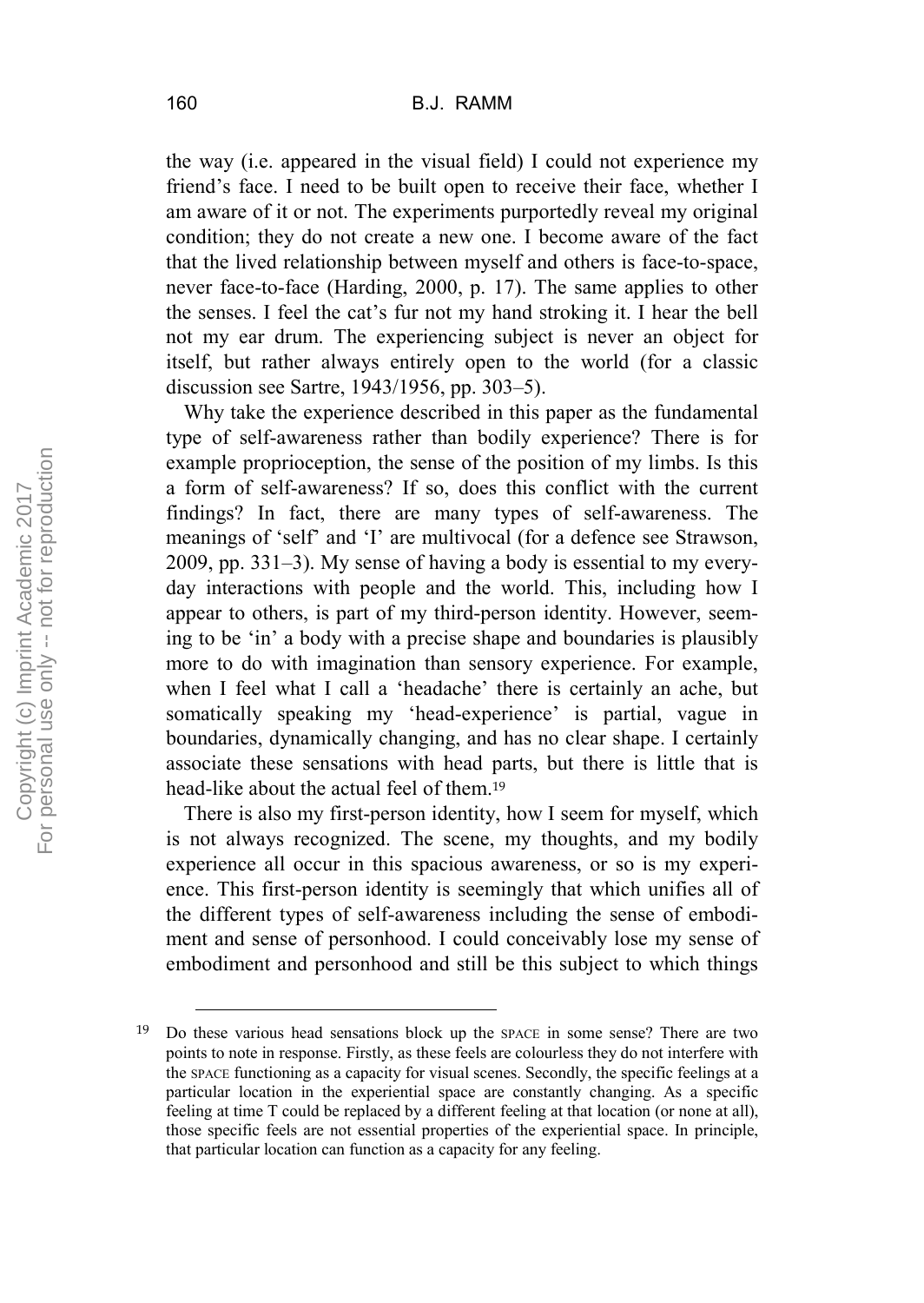the way (i.e. appeared in the visual field) I could not experience my friend's face. I need to be built open to receive their face, whether I am aware of it or not. The experiments purportedly reveal my original condition; they do not create a new one. I become aware of the fact that the lived relationship between myself and others is face-to-space, never face-to-face (Harding, 2000, p. 17). The same applies to other the senses. I feel the cat's fur not my hand stroking it. I hear the bell not my ear drum. The experiencing subject is never an object for itself, but rather always entirely open to the world (for a classic discussion see Sartre, 1943/1956, pp. 303–5).

Why take the experience described in this paper as the fundamental type of self-awareness rather than bodily experience? There is for example proprioception, the sense of the position of my limbs. Is this a form of self-awareness? If so, does this conflict with the current findings? In fact, there are many types of self-awareness. The meanings of 'self' and 'I' are multivocal (for a defence see Strawson, 2009, pp. 331–3). My sense of having a body is essential to my everyday interactions with people and the world. This, including how I appear to others, is part of my third-person identity. However, seeming to be 'in' a body with a precise shape and boundaries is plausibly more to do with imagination than sensory experience. For example, when I feel what I call a 'headache' there is certainly an ache, but somatically speaking my 'head-experience' is partial, vague in boundaries, dynamically changing, and has no clear shape. I certainly associate these sensations with head parts, but there is little that is head-like about the actual feel of them.<sup>19</sup>

There is also my first-person identity, how I seem for myself, which is not always recognized. The scene, my thoughts, and my bodily experience all occur in this spacious awareness, or so is my experience. This first-person identity is seemingly that which unifies all of the different types of self-awareness including the sense of embodiment and sense of personhood. I could conceivably lose my sense of embodiment and personhood and still be this subject to which things

 <sup>19</sup> Do these various head sensations block up the SPACE in some sense? There are two points to note in response. Firstly, as these feels are colourless they do not interfere with the SPACE functioning as a capacity for visual scenes. Secondly, the specific feelings at a particular location in the experiential space are constantly changing. As a specific feeling at time T could be replaced by a different feeling at that location (or none at all), those specific feels are not essential properties of the experiential space. In principle, that particular location can function as a capacity for any feeling.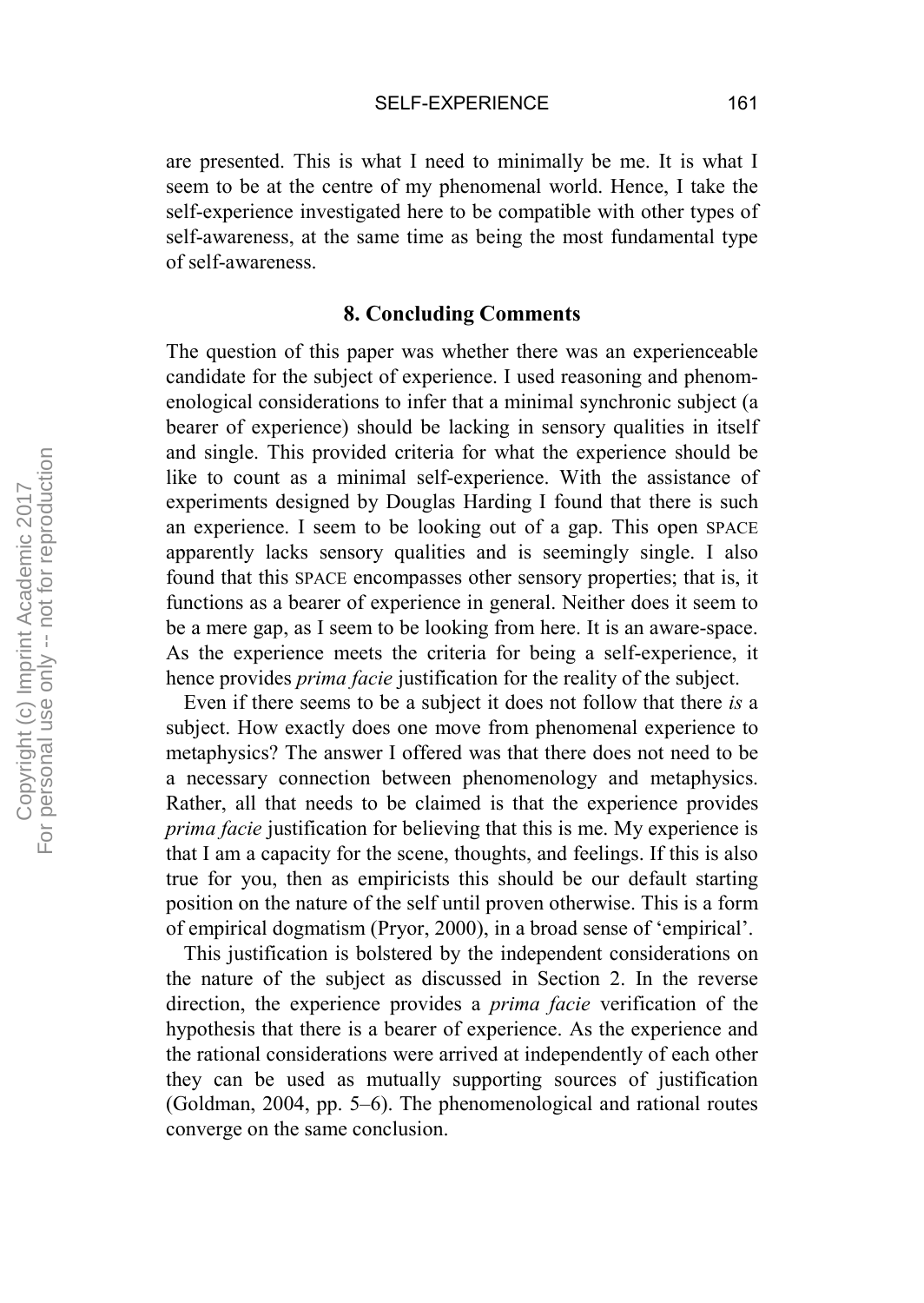are presented. This is what I need to minimally be me. It is what I seem to be at the centre of my phenomenal world. Hence, I take the self-experience investigated here to be compatible with other types of self-awareness, at the same time as being the most fundamental type of self-awareness.

## **8. Concluding Comments**

The question of this paper was whether there was an experienceable candidate for the subject of experience. I used reasoning and phenomenological considerations to infer that a minimal synchronic subject (a bearer of experience) should be lacking in sensory qualities in itself and single. This provided criteria for what the experience should be like to count as a minimal self-experience. With the assistance of experiments designed by Douglas Harding I found that there is such an experience. I seem to be looking out of a gap. This open SPACE apparently lacks sensory qualities and is seemingly single. I also found that this SPACE encompasses other sensory properties; that is, it functions as a bearer of experience in general. Neither does it seem to be a mere gap, as I seem to be looking from here. It is an aware-space. As the experience meets the criteria for being a self-experience, it hence provides *prima facie* justification for the reality of the subject.

Even if there seems to be a subject it does not follow that there *is* a subject. How exactly does one move from phenomenal experience to metaphysics? The answer I offered was that there does not need to be a necessary connection between phenomenology and metaphysics. Rather, all that needs to be claimed is that the experience provides *prima facie* justification for believing that this is me. My experience is that I am a capacity for the scene, thoughts, and feelings. If this is also true for you, then as empiricists this should be our default starting position on the nature of the self until proven otherwise. This is a form of empirical dogmatism (Pryor, 2000), in a broad sense of 'empirical'.

This justification is bolstered by the independent considerations on the nature of the subject as discussed in Section 2. In the reverse direction, the experience provides a *prima facie* verification of the hypothesis that there is a bearer of experience. As the experience and the rational considerations were arrived at independently of each other they can be used as mutually supporting sources of justification (Goldman, 2004, pp. 5–6). The phenomenological and rational routes converge on the same conclusion.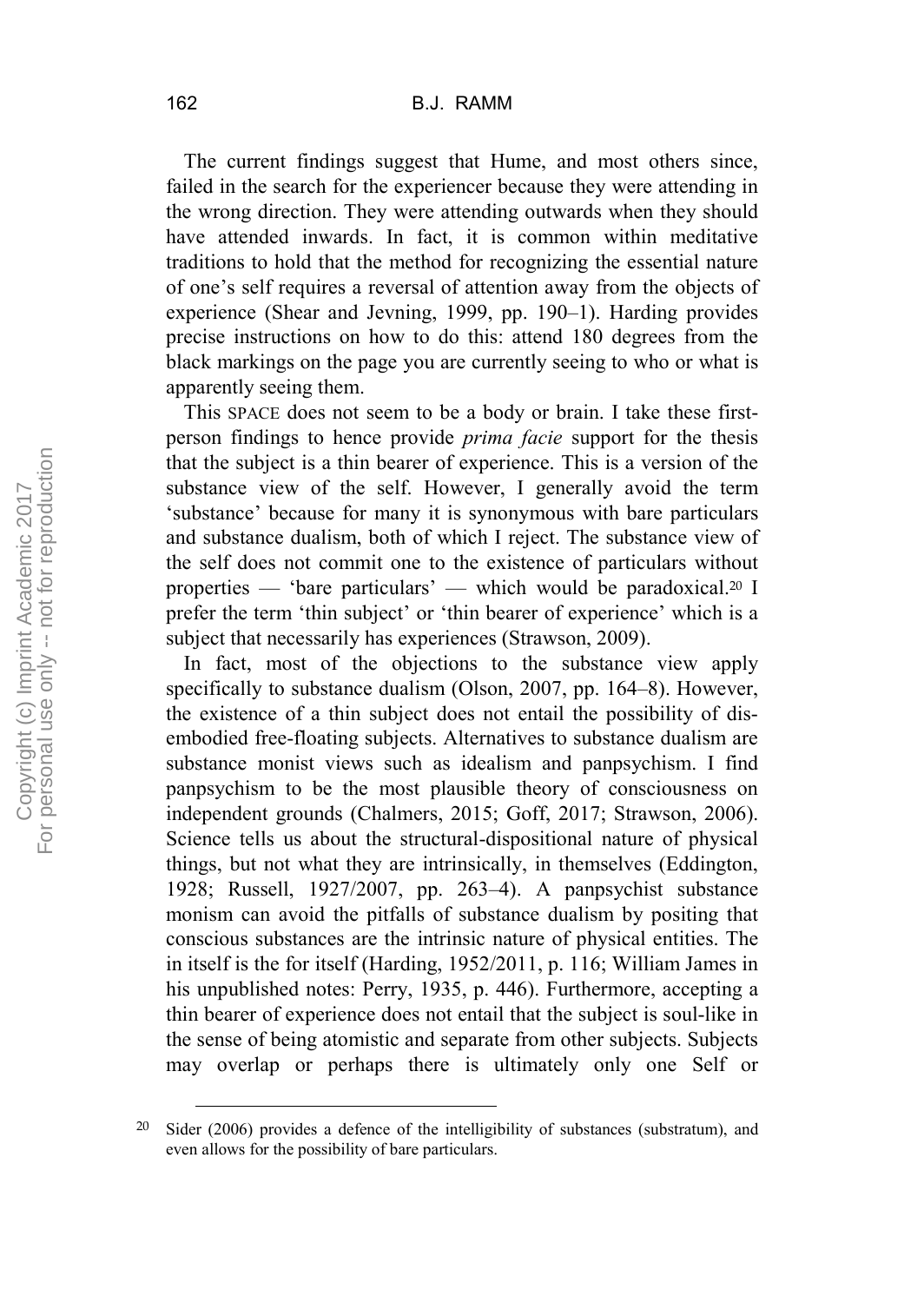The current findings suggest that Hume, and most others since, failed in the search for the experiencer because they were attending in the wrong direction. They were attending outwards when they should have attended inwards. In fact, it is common within meditative traditions to hold that the method for recognizing the essential nature of one's self requires a reversal of attention away from the objects of experience (Shear and Jevning, 1999, pp. 190–1). Harding provides precise instructions on how to do this: attend 180 degrees from the black markings on the page you are currently seeing to who or what is apparently seeing them.

This SPACE does not seem to be a body or brain. I take these firstperson findings to hence provide *prima facie* support for the thesis that the subject is a thin bearer of experience. This is a version of the substance view of the self. However, I generally avoid the term 'substance' because for many it is synonymous with bare particulars and substance dualism, both of which I reject. The substance view of the self does not commit one to the existence of particulars without properties — 'bare particulars' — which would be paradoxical.<sup>20</sup> I prefer the term 'thin subject' or 'thin bearer of experience' which is a subject that necessarily has experiences (Strawson, 2009).

In fact, most of the objections to the substance view apply specifically to substance dualism (Olson, 2007, pp. 164–8). However, the existence of a thin subject does not entail the possibility of disembodied free-floating subjects. Alternatives to substance dualism are substance monist views such as idealism and panpsychism. I find panpsychism to be the most plausible theory of consciousness on independent grounds (Chalmers, 2015; Goff, 2017; Strawson, 2006). Science tells us about the structural-dispositional nature of physical things, but not what they are intrinsically, in themselves (Eddington, 1928; Russell, 1927/2007, pp. 263–4). A panpsychist substance monism can avoid the pitfalls of substance dualism by positing that conscious substances are the intrinsic nature of physical entities. The in itself is the for itself (Harding, 1952/2011, p. 116; William James in his unpublished notes: Perry, 1935, p. 446). Furthermore, accepting a thin bearer of experience does not entail that the subject is soul-like in the sense of being atomistic and separate from other subjects. Subjects may overlap or perhaps there is ultimately only one Self or

 <sup>20</sup> Sider (2006) provides a defence of the intelligibility of substances (substratum), and even allows for the possibility of bare particulars.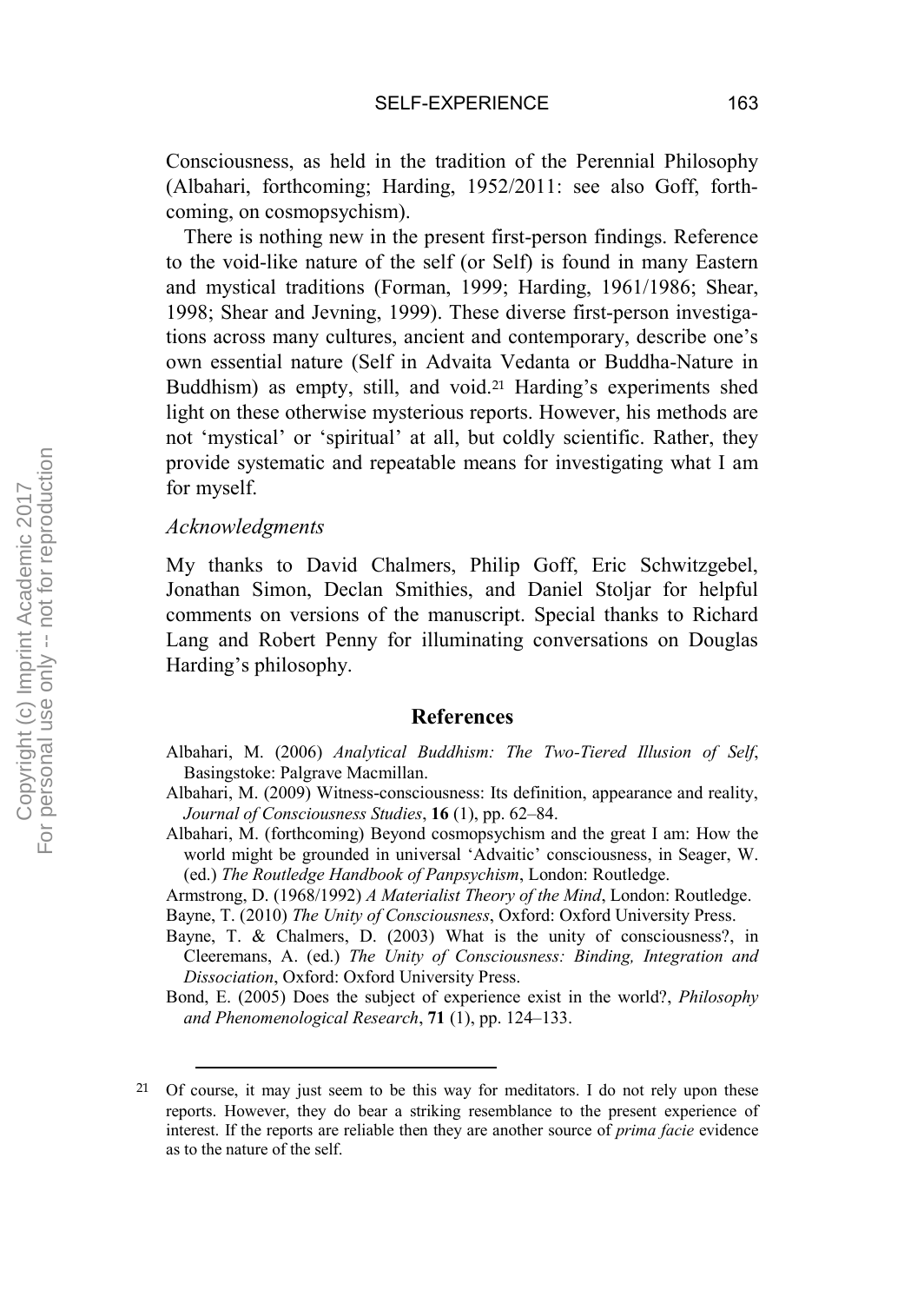Consciousness, as held in the tradition of the Perennial Philosophy (Albahari, forthcoming; Harding, 1952/2011: see also Goff, forthcoming, on cosmopsychism).

There is nothing new in the present first-person findings. Reference to the void-like nature of the self (or Self) is found in many Eastern and mystical traditions (Forman, 1999; Harding, 1961/1986; Shear, 1998; Shear and Jevning, 1999). These diverse first-person investigations across many cultures, ancient and contemporary, describe one's own essential nature (Self in Advaita Vedanta or Buddha-Nature in Buddhism) as empty, still, and void.<sup>21</sup> Harding's experiments shed light on these otherwise mysterious reports. However, his methods are not 'mystical' or 'spiritual' at all, but coldly scientific. Rather, they provide systematic and repeatable means for investigating what I am for myself.

#### *Acknowledgments*

My thanks to David Chalmers, Philip Goff, Eric Schwitzgebel, Jonathan Simon, Declan Smithies, and Daniel Stoljar for helpful comments on versions of the manuscript. Special thanks to Richard Lang and Robert Penny for illuminating conversations on Douglas Harding's philosophy.

#### **References**

Albahari, M. (2006) *Analytical Buddhism: The Two-Tiered Illusion of Self*, Basingstoke: Palgrave Macmillan.

- Albahari, M. (2009) Witness-consciousness: Its definition, appearance and reality, *Journal of Consciousness Studies*, **16** (1), pp. 62–84.
- Albahari, M. (forthcoming) Beyond cosmopsychism and the great I am: How the world might be grounded in universal 'Advaitic' consciousness, in Seager, W. (ed.) *The Routledge Handbook of Panpsychism*, London: Routledge.
- Armstrong, D. (1968/1992) *A Materialist Theory of the Mind*, London: Routledge. Bayne, T. (2010) *The Unity of Consciousness*, Oxford: Oxford University Press.
- Bayne, T. & Chalmers, D. (2003) What is the unity of consciousness?, in Cleeremans, A. (ed.) *The Unity of Consciousness: Binding, Integration and Dissociation*, Oxford: Oxford University Press.

Bond, E. (2005) Does the subject of experience exist in the world?, *Philosophy and Phenomenological Research*, **71** (1), pp. 124–133.

 <sup>21</sup> Of course, it may just seem to be this way for meditators. I do not rely upon these reports. However, they do bear a striking resemblance to the present experience of interest. If the reports are reliable then they are another source of *prima facie* evidence as to the nature of the self.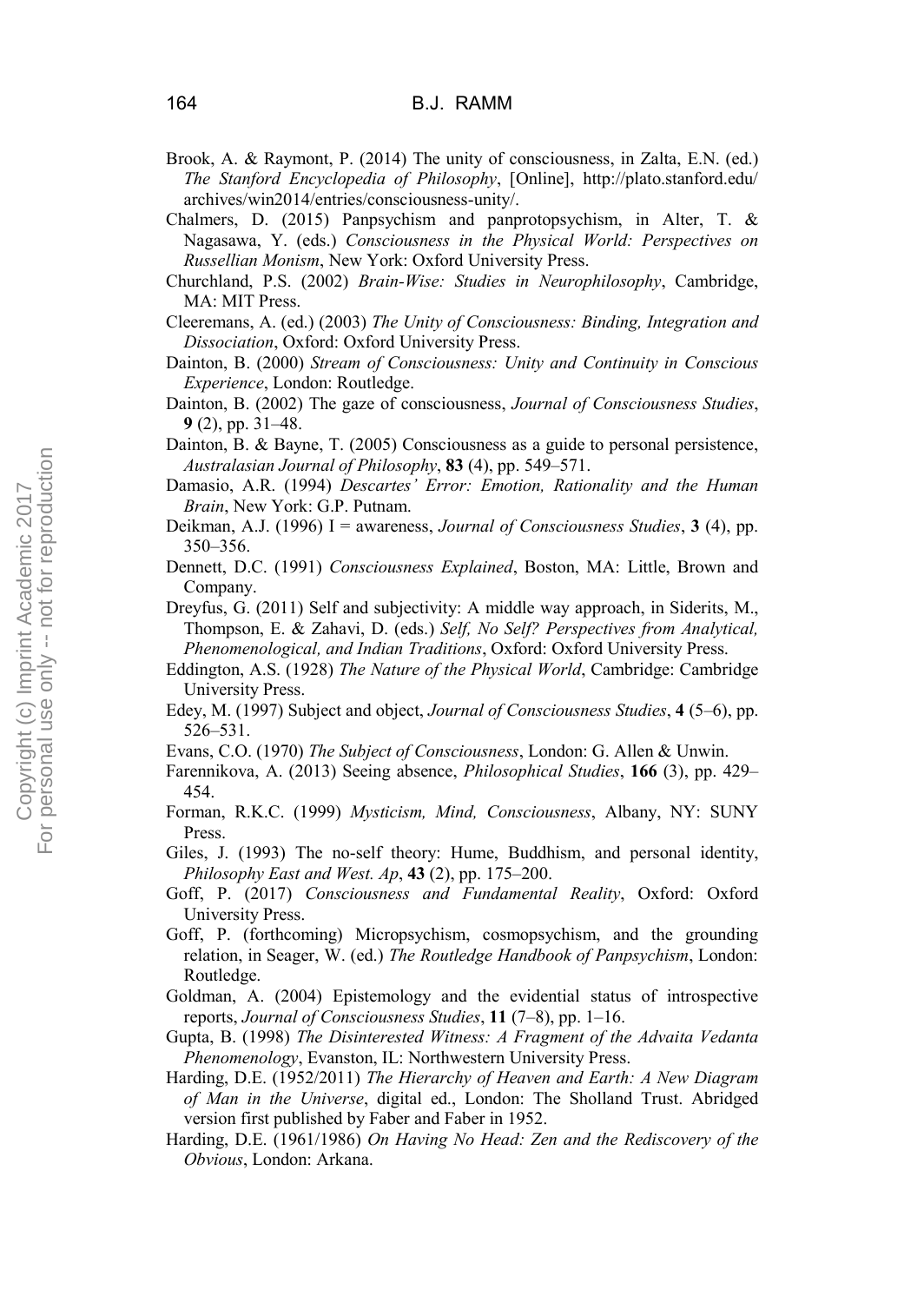- Brook, A. & Raymont, P. (2014) The unity of consciousness, in Zalta, E.N. (ed.) *The Stanford Encyclopedia of Philosophy*, [Online], http://plato.stanford.edu/ archives/win2014/entries/consciousness-unity/.
- Chalmers, D. (2015) Panpsychism and panprotopsychism, in Alter, T. & Nagasawa, Y. (eds.) *Consciousness in the Physical World: Perspectives on Russellian Monism*, New York: Oxford University Press.
- Churchland, P.S. (2002) *Brain-Wise: Studies in Neurophilosophy*, Cambridge, MA: MIT Press.
- Cleeremans, A. (ed.) (2003) *The Unity of Consciousness: Binding, Integration and Dissociation*, Oxford: Oxford University Press.
- Dainton, B. (2000) *Stream of Consciousness: Unity and Continuity in Conscious Experience*, London: Routledge.
- Dainton, B. (2002) The gaze of consciousness, *Journal of Consciousness Studies*, **9** (2), pp. 31–48.
- Dainton, B. & Bayne, T. (2005) Consciousness as a guide to personal persistence, *Australasian Journal of Philosophy*, **83** (4), pp. 549–571.
- Damasio, A.R. (1994) *Descartes' Error: Emotion, Rationality and the Human Brain*, New York: G.P. Putnam.
- Deikman, A.J. (1996) I = awareness, *Journal of Consciousness Studies*, **3** (4), pp. 350–356.
- Dennett, D.C. (1991) *Consciousness Explained*, Boston, MA: Little, Brown and Company.
- Dreyfus, G. (2011) Self and subjectivity: A middle way approach, in Siderits, M., Thompson, E. & Zahavi, D. (eds.) *Self, No Self? Perspectives from Analytical, Phenomenological, and Indian Traditions*, Oxford: Oxford University Press.
- Eddington, A.S. (1928) *The Nature of the Physical World*, Cambridge: Cambridge University Press.
- Edey, M. (1997) Subject and object, *Journal of Consciousness Studies*, **4** (5–6), pp. 526–531.
- Evans, C.O. (1970) *The Subject of Consciousness*, London: G. Allen & Unwin.
- Farennikova, A. (2013) Seeing absence, *Philosophical Studies*, **166** (3), pp. 429– 454.
- Forman, R.K.C. (1999) *Mysticism, Mind, Consciousness*, Albany, NY: SUNY Press.
- Giles, J. (1993) The no-self theory: Hume, Buddhism, and personal identity, *Philosophy East and West. Ap*, **43** (2), pp. 175–200.
- Goff, P. (2017) *Consciousness and Fundamental Reality*, Oxford: Oxford University Press.
- Goff, P. (forthcoming) Micropsychism, cosmopsychism, and the grounding relation, in Seager, W. (ed.) *The Routledge Handbook of Panpsychism*, London: Routledge.
- Goldman, A. (2004) Epistemology and the evidential status of introspective reports, *Journal of Consciousness Studies*, **11** (7–8), pp. 1–16.
- Gupta, B. (1998) *The Disinterested Witness: A Fragment of the Advaita Vedanta Phenomenology*, Evanston, IL: Northwestern University Press.
- Harding, D.E. (1952/2011) *The Hierarchy of Heaven and Earth: A New Diagram of Man in the Universe*, digital ed., London: The Sholland Trust. Abridged version first published by Faber and Faber in 1952.
- Harding, D.E. (1961/1986) *On Having No Head: Zen and the Rediscovery of the Obvious*, London: Arkana.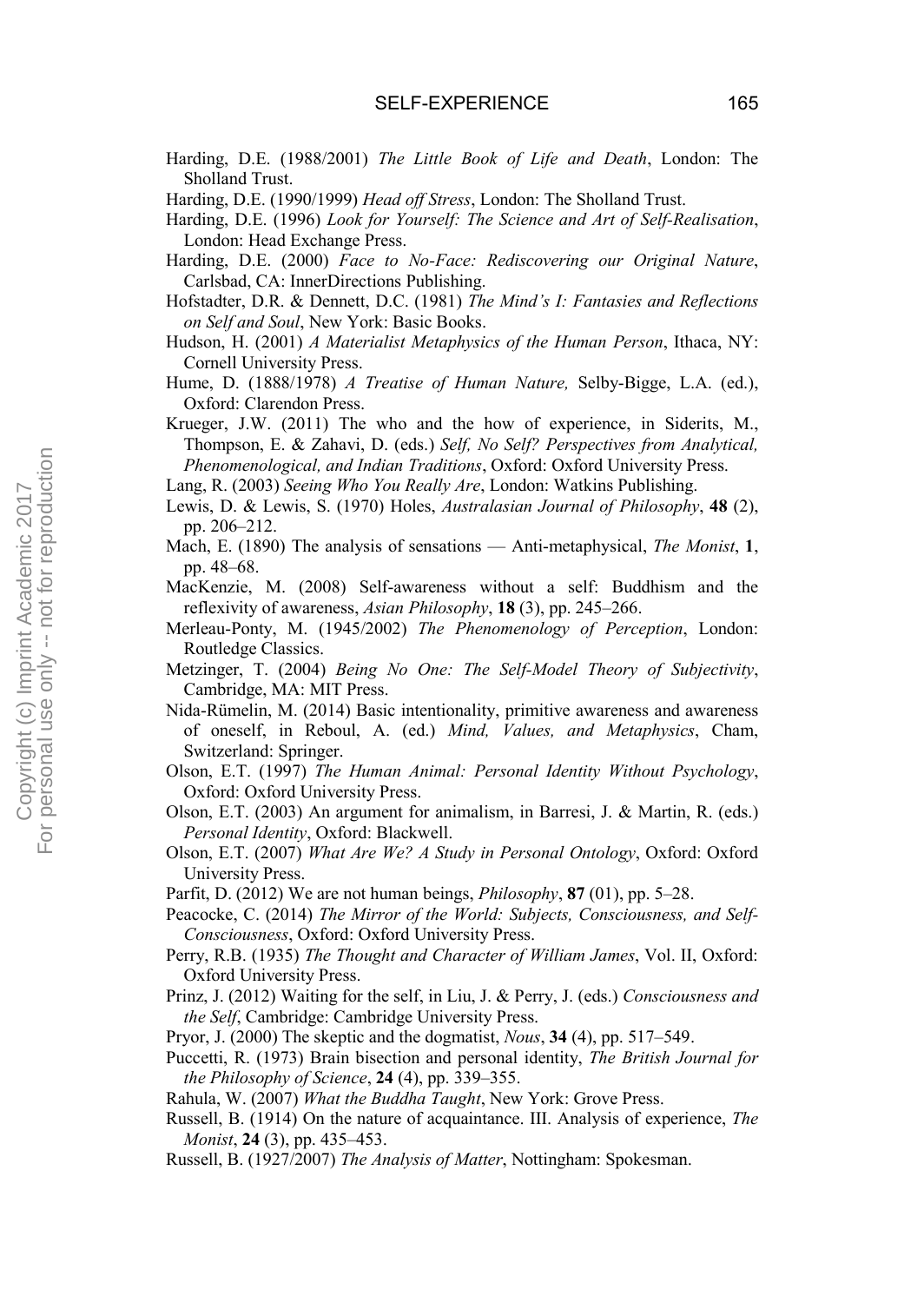- Harding, D.E. (1988/2001) *The Little Book of Life and Death*, London: The Sholland Trust.
- Harding, D.E. (1990/1999) *Head off Stress*, London: The Sholland Trust.
- Harding, D.E. (1996) *Look for Yourself: The Science and Art of Self-Realisation*, London: Head Exchange Press.
- Harding, D.E. (2000) *Face to No-Face: Rediscovering our Original Nature*, Carlsbad, CA: InnerDirections Publishing.
- Hofstadter, D.R. & Dennett, D.C. (1981) *The Mind's I: Fantasies and Reflections on Self and Soul*, New York: Basic Books.
- Hudson, H. (2001) *A Materialist Metaphysics of the Human Person*, Ithaca, NY: Cornell University Press.
- Hume, D. (1888/1978) *A Treatise of Human Nature,* Selby-Bigge, L.A. (ed.), Oxford: Clarendon Press.
- Krueger, J.W. (2011) The who and the how of experience, in Siderits, M., Thompson, E. & Zahavi, D. (eds.) *Self, No Self? Perspectives from Analytical, Phenomenological, and Indian Traditions*, Oxford: Oxford University Press.
- Lang, R. (2003) *Seeing Who You Really Are*, London: Watkins Publishing.
- Lewis, D. & Lewis, S. (1970) Holes, *Australasian Journal of Philosophy*, **48** (2), pp. 206–212.
- Mach, E. (1890) The analysis of sensations Anti-metaphysical, *The Monist*, **1**, pp. 48–68.
- MacKenzie, M. (2008) Self-awareness without a self: Buddhism and the reflexivity of awareness, *Asian Philosophy*, **18** (3), pp. 245–266.
- Merleau-Ponty, M. (1945/2002) *The Phenomenology of Perception*, London: Routledge Classics.
- Metzinger, T. (2004) *Being No One: The Self-Model Theory of Subjectivity*, Cambridge, MA: MIT Press.
- Nida-Rümelin, M. (2014) Basic intentionality, primitive awareness and awareness of oneself, in Reboul, A. (ed.) *Mind, Values, and Metaphysics*, Cham, Switzerland: Springer.
- Olson, E.T. (1997) *The Human Animal: Personal Identity Without Psychology*, Oxford: Oxford University Press.
- Olson, E.T. (2003) An argument for animalism, in Barresi, J. & Martin, R. (eds.) *Personal Identity*, Oxford: Blackwell.
- Olson, E.T. (2007) *What Are We? A Study in Personal Ontology*, Oxford: Oxford University Press.
- Parfit, D. (2012) We are not human beings, *Philosophy*, **87** (01), pp. 5–28.
- Peacocke, C. (2014) *The Mirror of the World: Subjects, Consciousness, and Self-Consciousness*, Oxford: Oxford University Press.
- Perry, R.B. (1935) *The Thought and Character of William James*, Vol. II, Oxford: Oxford University Press.
- Prinz, J. (2012) Waiting for the self, in Liu, J. & Perry, J. (eds.) *Consciousness and the Self*, Cambridge: Cambridge University Press.
- Pryor, J. (2000) The skeptic and the dogmatist, *Nous*, **34** (4), pp. 517–549.
- Puccetti, R. (1973) Brain bisection and personal identity, *The British Journal for the Philosophy of Science*, **24** (4), pp. 339–355.
- Rahula, W. (2007) *What the Buddha Taught*, New York: Grove Press.
- Russell, B. (1914) On the nature of acquaintance. III. Analysis of experience, *The Monist*, **24** (3), pp. 435–453.
- Russell, B. (1927/2007) *The Analysis of Matter*, Nottingham: Spokesman.